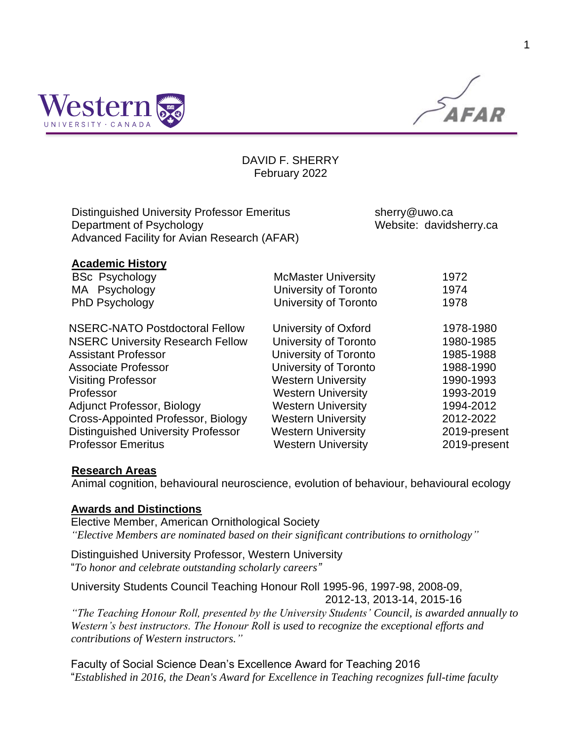

 $\widetilde{AFAR}$ 

## DAVID F. SHERRY February 2022

| Distinguished University Professor Emeritus | sherry@uwo.ca           |
|---------------------------------------------|-------------------------|
| Department of Psychology                    | Website: davidsherry.ca |
| Advanced Facility for Avian Research (AFAR) |                         |

| <b>Academic History</b>                   |                            |              |
|-------------------------------------------|----------------------------|--------------|
| <b>BSc Psychology</b>                     | <b>McMaster University</b> | 1972         |
| MA Psychology                             | University of Toronto      | 1974         |
| PhD Psychology                            | University of Toronto      | 1978         |
| NSERC-NATO Postdoctoral Fellow            | University of Oxford       | 1978-1980    |
| <b>NSERC University Research Fellow</b>   | University of Toronto      | 1980-1985    |
| <b>Assistant Professor</b>                | University of Toronto      | 1985-1988    |
| <b>Associate Professor</b>                | University of Toronto      | 1988-1990    |
| <b>Visiting Professor</b>                 | <b>Western University</b>  | 1990-1993    |
| Professor                                 | <b>Western University</b>  | 1993-2019    |
| <b>Adjunct Professor, Biology</b>         | <b>Western University</b>  | 1994-2012    |
| Cross-Appointed Professor, Biology        | <b>Western University</b>  | 2012-2022    |
| <b>Distinguished University Professor</b> | <b>Western University</b>  | 2019-present |
| <b>Professor Emeritus</b>                 | <b>Western University</b>  | 2019-present |

## **Research Areas**

Animal cognition, behavioural neuroscience, evolution of behaviour, behavioural ecology

## **Awards and Distinctions**

Elective Member, American Ornithological Society *"Elective Members are nominated based on their significant contributions to ornithology"*

Distinguished University Professor, Western University "*To honor and celebrate outstanding scholarly careers"*

University Students Council Teaching Honour Roll 1995-96, 1997-98, 2008-09, 2012-13, 2013-14, 2015-16

*"The Teaching Honour Roll, presented by the University Students' Council, is awarded annually to Western's best instructors. The Honour Roll is used to recognize the exceptional efforts and contributions of Western instructors."*

Faculty of Social Science Dean's Excellence Award for Teaching 2016 "*Established in 2016, the Dean's Award for Excellence in Teaching recognizes full-time faculty*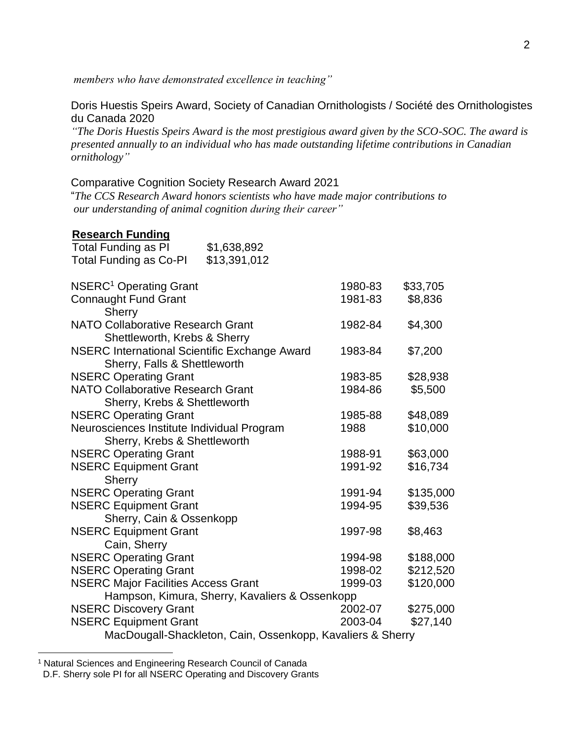*members who have demonstrated excellence in teaching"*

Doris Huestis Speirs Award, Society of Canadian Ornithologists / Société des Ornithologistes du Canada 2020

*"The Doris Huestis Speirs Award is the most prestigious award given by the SCO-SOC. The award is presented annually to an individual who has made outstanding lifetime contributions in Canadian ornithology"*

#### Comparative Cognition Society Research Award 2021

"*The CCS Research Award honors scientists who have made major contributions to our understanding of animal cognition during their career"*

#### **Research Funding** Total Funding as PI \$1,638,892

| \$13,391,012                                         |                                                                                                                              |                                                                                                                                                                                                                                                                                                                 |
|------------------------------------------------------|------------------------------------------------------------------------------------------------------------------------------|-----------------------------------------------------------------------------------------------------------------------------------------------------------------------------------------------------------------------------------------------------------------------------------------------------------------|
|                                                      |                                                                                                                              | \$33,705                                                                                                                                                                                                                                                                                                        |
|                                                      |                                                                                                                              | \$8,836                                                                                                                                                                                                                                                                                                         |
| <b>NATO Collaborative Research Grant</b>             |                                                                                                                              | \$4,300                                                                                                                                                                                                                                                                                                         |
| <b>NSERC International Scientific Exchange Award</b> |                                                                                                                              | \$7,200                                                                                                                                                                                                                                                                                                         |
|                                                      |                                                                                                                              | \$28,938                                                                                                                                                                                                                                                                                                        |
| <b>NATO Collaborative Research Grant</b>             |                                                                                                                              | \$5,500                                                                                                                                                                                                                                                                                                         |
|                                                      |                                                                                                                              | \$48,089                                                                                                                                                                                                                                                                                                        |
| Neurosciences Institute Individual Program           |                                                                                                                              | \$10,000                                                                                                                                                                                                                                                                                                        |
|                                                      |                                                                                                                              | \$63,000                                                                                                                                                                                                                                                                                                        |
|                                                      |                                                                                                                              | \$16,734                                                                                                                                                                                                                                                                                                        |
|                                                      |                                                                                                                              | \$135,000                                                                                                                                                                                                                                                                                                       |
| Sherry, Cain & Ossenkopp                             |                                                                                                                              | \$39,536                                                                                                                                                                                                                                                                                                        |
|                                                      |                                                                                                                              | \$8,463                                                                                                                                                                                                                                                                                                         |
|                                                      |                                                                                                                              | \$188,000                                                                                                                                                                                                                                                                                                       |
|                                                      |                                                                                                                              | \$212,520                                                                                                                                                                                                                                                                                                       |
| <b>NSERC Major Facilities Access Grant</b>           |                                                                                                                              | \$120,000                                                                                                                                                                                                                                                                                                       |
|                                                      |                                                                                                                              |                                                                                                                                                                                                                                                                                                                 |
|                                                      |                                                                                                                              | \$275,000                                                                                                                                                                                                                                                                                                       |
|                                                      |                                                                                                                              | \$27,140                                                                                                                                                                                                                                                                                                        |
|                                                      |                                                                                                                              |                                                                                                                                                                                                                                                                                                                 |
|                                                      | Shettleworth, Krebs & Sherry<br>Sherry, Falls & Shettleworth<br>Sherry, Krebs & Shettleworth<br>Sherry, Krebs & Shettleworth | 1980-83<br>1981-83<br>1982-84<br>1983-84<br>1983-85<br>1984-86<br>1985-88<br>1988<br>1988-91<br>1991-92<br>1991-94<br>1994-95<br>1997-98<br>1994-98<br>1998-02<br>1999-03<br>Hampson, Kimura, Sherry, Kavaliers & Ossenkopp<br>2002-07<br>2003-04<br>MacDougall-Shackleton, Cain, Ossenkopp, Kavaliers & Sherry |

<sup>&</sup>lt;sup>1</sup> Natural Sciences and Engineering Research Council of Canada

D.F. Sherry sole PI for all NSERC Operating and Discovery Grants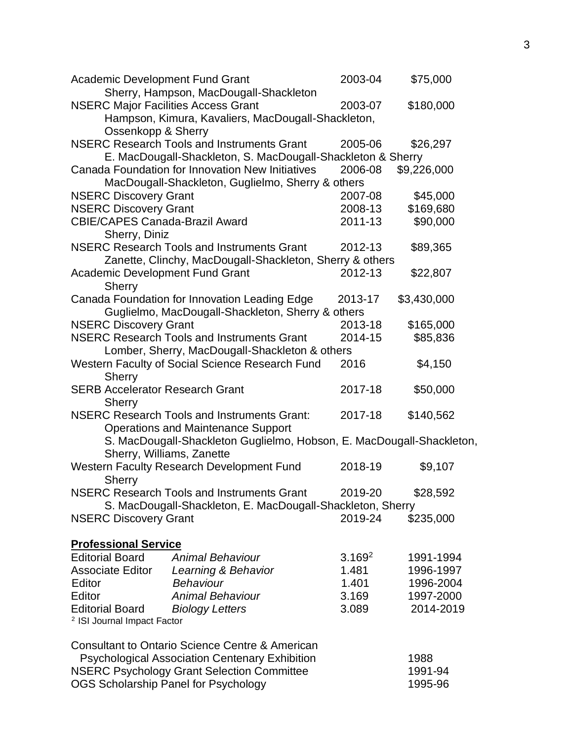| <b>Academic Development Fund Grant</b>                                                                                                                                                                                  | 2003-04            | \$75,000        |
|-------------------------------------------------------------------------------------------------------------------------------------------------------------------------------------------------------------------------|--------------------|-----------------|
| Sherry, Hampson, MacDougall-Shackleton                                                                                                                                                                                  |                    |                 |
| <b>NSERC Major Facilities Access Grant</b>                                                                                                                                                                              | 2003-07            | \$180,000       |
| Hampson, Kimura, Kavaliers, MacDougall-Shackleton,                                                                                                                                                                      |                    |                 |
| Ossenkopp & Sherry                                                                                                                                                                                                      |                    |                 |
| <b>NSERC Research Tools and Instruments Grant</b>                                                                                                                                                                       | 2005-06            | \$26,297        |
| E. MacDougall-Shackleton, S. MacDougall-Shackleton & Sherry                                                                                                                                                             |                    |                 |
| Canada Foundation for Innovation New Initiatives                                                                                                                                                                        | 2006-08            | \$9,226,000     |
| MacDougall-Shackleton, Guglielmo, Sherry & others                                                                                                                                                                       |                    |                 |
| <b>NSERC Discovery Grant</b>                                                                                                                                                                                            | 2007-08            | \$45,000        |
| <b>NSERC Discovery Grant</b>                                                                                                                                                                                            | 2008-13            | \$169,680       |
| <b>CBIE/CAPES Canada-Brazil Award</b>                                                                                                                                                                                   | 2011-13            | \$90,000        |
| Sherry, Diniz                                                                                                                                                                                                           |                    |                 |
| <b>NSERC Research Tools and Instruments Grant</b>                                                                                                                                                                       | 2012-13            | \$89,365        |
| Zanette, Clinchy, MacDougall-Shackleton, Sherry & others                                                                                                                                                                |                    |                 |
| <b>Academic Development Fund Grant</b>                                                                                                                                                                                  | 2012-13            | \$22,807        |
| Sherry                                                                                                                                                                                                                  |                    |                 |
| Canada Foundation for Innovation Leading Edge                                                                                                                                                                           | 2013-17            | \$3,430,000     |
| Guglielmo, MacDougall-Shackleton, Sherry & others                                                                                                                                                                       |                    |                 |
| <b>NSERC Discovery Grant</b>                                                                                                                                                                                            | 2013-18            | \$165,000       |
| <b>NSERC Research Tools and Instruments Grant</b>                                                                                                                                                                       | 2014-15            | \$85,836        |
| Lomber, Sherry, MacDougall-Shackleton & others                                                                                                                                                                          |                    |                 |
| Western Faculty of Social Science Research Fund                                                                                                                                                                         | 2016               | \$4,150         |
| <b>Sherry</b>                                                                                                                                                                                                           |                    |                 |
| <b>SERB Accelerator Research Grant</b>                                                                                                                                                                                  | 2017-18            | \$50,000        |
| <b>Sherry</b>                                                                                                                                                                                                           |                    |                 |
| <b>NSERC Research Tools and Instruments Grant:</b>                                                                                                                                                                      | 2017-18            | \$140,562       |
| <b>Operations and Maintenance Support</b>                                                                                                                                                                               |                    |                 |
| S. MacDougall-Shackleton Guglielmo, Hobson, E. MacDougall-Shackleton,                                                                                                                                                   |                    |                 |
| Sherry, Williams, Zanette                                                                                                                                                                                               |                    |                 |
| Western Faculty Research Development Fund                                                                                                                                                                               | 2018-19            | \$9,107         |
| <b>Sherry</b>                                                                                                                                                                                                           |                    |                 |
| <b>NSERC Research Tools and Instruments Grant</b>                                                                                                                                                                       | 2019-20            | \$28,592        |
| S. MacDougall-Shackleton, E. MacDougall-Shackleton, Sherry                                                                                                                                                              |                    |                 |
| <b>NSERC Discovery Grant</b>                                                                                                                                                                                            | 2019-24            | \$235,000       |
|                                                                                                                                                                                                                         |                    |                 |
| <b>Professional Service</b>                                                                                                                                                                                             |                    |                 |
| <b>Editorial Board</b><br><b>Animal Behaviour</b>                                                                                                                                                                       | 3.169 <sup>2</sup> | 1991-1994       |
| <b>Associate Editor</b><br>Learning & Behavior                                                                                                                                                                          | 1.481              | 1996-1997       |
| Editor<br><b>Behaviour</b>                                                                                                                                                                                              | 1.401              | 1996-2004       |
| Editor<br><b>Animal Behaviour</b>                                                                                                                                                                                       | 3.169              | 1997-2000       |
| <b>Editorial Board</b><br><b>Biology Letters</b>                                                                                                                                                                        | 3.089              | 2014-2019       |
| <sup>2</sup> ISI Journal Impact Factor                                                                                                                                                                                  |                    |                 |
|                                                                                                                                                                                                                         |                    |                 |
|                                                                                                                                                                                                                         |                    |                 |
|                                                                                                                                                                                                                         |                    |                 |
|                                                                                                                                                                                                                         |                    |                 |
|                                                                                                                                                                                                                         |                    | 1995-96         |
| <b>Consultant to Ontario Science Centre &amp; American</b><br><b>Psychological Association Centenary Exhibition</b><br><b>NSERC Psychology Grant Selection Committee</b><br><b>OGS Scholarship Panel for Psychology</b> |                    | 1988<br>1991-94 |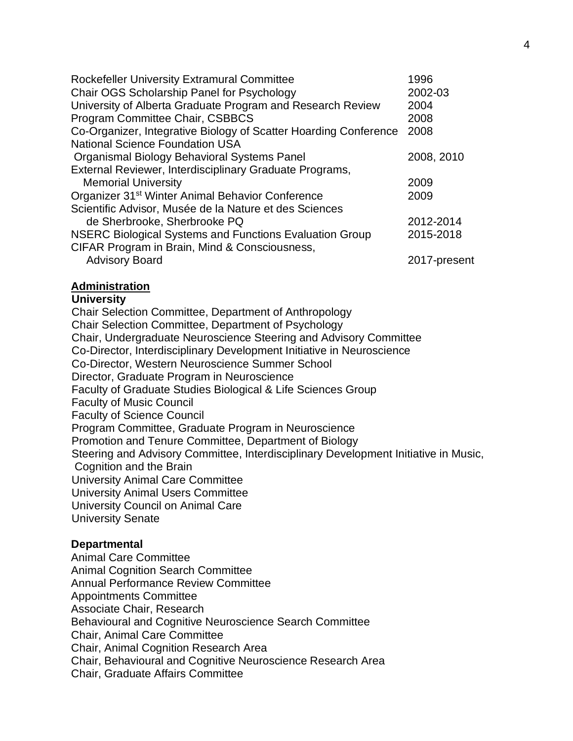| 1996         |
|--------------|
| 2002-03      |
| 2004         |
| 2008         |
| 2008         |
|              |
| 2008, 2010   |
|              |
| 2009         |
| 2009         |
|              |
| 2012-2014    |
| 2015-2018    |
| 2017-present |
|              |

## **Administration**

## **University**

Chair Selection Committee, Department of Anthropology Chair Selection Committee, Department of Psychology Chair, Undergraduate Neuroscience Steering and Advisory Committee Co-Director, Interdisciplinary Development Initiative in Neuroscience Co-Director, Western Neuroscience Summer School Director, Graduate Program in Neuroscience Faculty of Graduate Studies Biological & Life Sciences Group Faculty of Music Council Faculty of Science Council Program Committee, Graduate Program in Neuroscience Promotion and Tenure Committee, Department of Biology Steering and Advisory Committee, Interdisciplinary Development Initiative in Music, Cognition and the Brain University Animal Care Committee University Animal Users Committee University Council on Animal Care University Senate

## **Departmental**

Animal Care Committee Animal Cognition Search Committee Annual Performance Review Committee Appointments Committee Associate Chair, Research Behavioural and Cognitive Neuroscience Search Committee Chair, Animal Care Committee Chair, Animal Cognition Research Area Chair, Behavioural and Cognitive Neuroscience Research Area Chair, Graduate Affairs Committee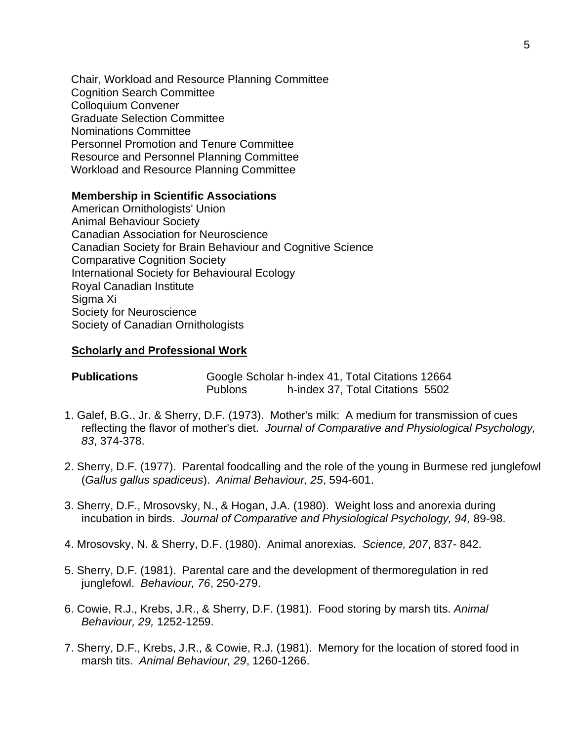Chair, Workload and Resource Planning Committee Cognition Search Committee Colloquium Convener Graduate Selection Committee Nominations Committee Personnel Promotion and Tenure Committee Resource and Personnel Planning Committee Workload and Resource Planning Committee

### **Membership in Scientific Associations**

 American Ornithologists' Union Animal Behaviour Society Canadian Association for Neuroscience Canadian Society for Brain Behaviour and Cognitive Science Comparative Cognition Society International Society for Behavioural Ecology Royal Canadian Institute Sigma Xi Society for Neuroscience Society of Canadian Ornithologists

#### **Scholarly and Professional Work**

| <b>Publications</b> | Google Scholar h-index 41, Total Citations 12664 |                                  |  |
|---------------------|--------------------------------------------------|----------------------------------|--|
|                     | <b>Publons</b>                                   | h-index 37, Total Citations 5502 |  |

- 1. Galef, B.G., Jr. & Sherry, D.F. (1973). Mother's milk: A medium for transmission of cues reflecting the flavor of mother's diet. *Journal of Comparative and Physiological Psychology, 83*, 374-378.
- 2. Sherry, D.F. (1977). Parental foodcalling and the role of the young in Burmese red junglefowl (*Gallus gallus spadiceus*). *Animal Behaviour, 25*, 594-601.
- 3. Sherry, D.F., Mrosovsky, N., & Hogan, J.A. (1980). Weight loss and anorexia during incubation in birds. *Journal of Comparative and Physiological Psychology, 94,* 89-98.
- 4. Mrosovsky, N. & Sherry, D.F. (1980). Animal anorexias. *Science, 207*, 837- 842.
- 5. Sherry, D.F. (1981). Parental care and the development of thermoregulation in red junglefowl. *Behaviour, 76*, 250-279.
- 6. Cowie, R.J., Krebs, J.R., & Sherry, D.F. (1981). Food storing by marsh tits. *Animal Behaviour, 29,* 1252-1259.
- 7. Sherry, D.F., Krebs, J.R., & Cowie, R.J. (1981). Memory for the location of stored food in marsh tits. *Animal Behaviour, 29*, 1260-1266.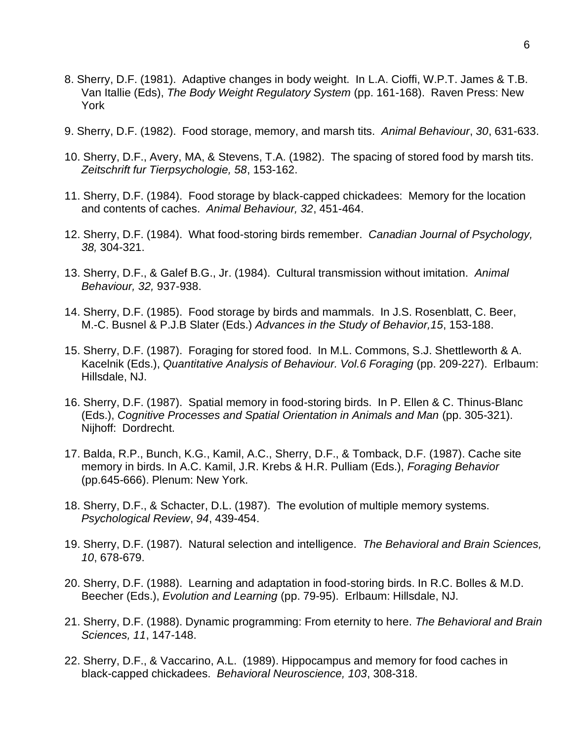- 8. Sherry, D.F. (1981). Adaptive changes in body weight. In L.A. Cioffi, W.P.T. James & T.B. Van Itallie (Eds), *The Body Weight Regulatory System* (pp. 161-168). Raven Press: New York
- 9. Sherry, D.F. (1982). Food storage, memory, and marsh tits. *Animal Behaviour*, *30*, 631-633.
- 10. Sherry, D.F., Avery, MA, & Stevens, T.A. (1982). The spacing of stored food by marsh tits. *Zeitschrift fur Tierpsychologie, 58*, 153-162.
- 11. Sherry, D.F. (1984). Food storage by black-capped chickadees: Memory for the location and contents of caches. *Animal Behaviour, 32*, 451-464.
- 12. Sherry, D.F. (1984). What food-storing birds remember. *Canadian Journal of Psychology, 38,* 304-321.
- 13. Sherry, D.F., & Galef B.G., Jr. (1984). Cultural transmission without imitation. *Animal Behaviour, 32,* 937-938.
- 14. Sherry, D.F. (1985). Food storage by birds and mammals. In J.S. Rosenblatt, C. Beer, M.-C. Busnel & P.J.B Slater (Eds.) *Advances in the Study of Behavior,15*, 153-188.
- 15. Sherry, D.F. (1987). Foraging for stored food. In M.L. Commons, S.J. Shettleworth & A. Kacelnik (Eds.), *Quantitative Analysis of Behaviour. Vol.6 Foraging* (pp. 209-227). Erlbaum: Hillsdale, NJ.
- 16. Sherry, D.F. (1987). Spatial memory in food-storing birds. In P. Ellen & C. Thinus-Blanc (Eds.), *Cognitive Processes and Spatial Orientation in Animals and Man* (pp. 305-321). Nijhoff: Dordrecht.
- 17. Balda, R.P., Bunch, K.G., Kamil, A.C., Sherry, D.F., & Tomback, D.F. (1987). Cache site memory in birds. In A.C. Kamil, J.R. Krebs & H.R. Pulliam (Eds.), *Foraging Behavior* (pp.645-666). Plenum: New York.
- 18. Sherry, D.F., & Schacter, D.L. (1987). The evolution of multiple memory systems. *Psychological Review*, *94*, 439-454.
- 19. Sherry, D.F. (1987). Natural selection and intelligence. *The Behavioral and Brain Sciences, 10*, 678-679.
- 20. Sherry, D.F. (1988). Learning and adaptation in food-storing birds. In R.C. Bolles & M.D. Beecher (Eds.), *Evolution and Learning* (pp. 79-95). Erlbaum: Hillsdale, NJ.
- 21. Sherry, D.F. (1988). Dynamic programming: From eternity to here. *The Behavioral and Brain Sciences, 11*, 147-148.
- 22. Sherry, D.F., & Vaccarino, A.L. (1989). Hippocampus and memory for food caches in black-capped chickadees. *Behavioral Neuroscience, 103*, 308-318.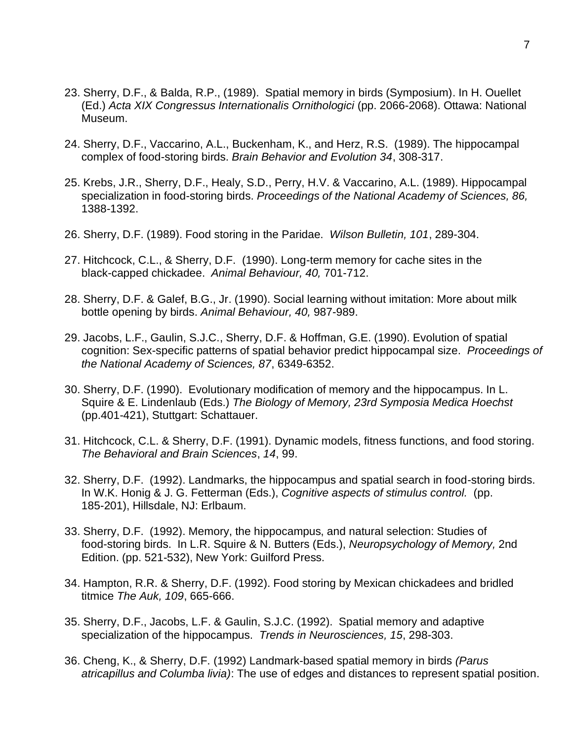- 23. Sherry, D.F., & Balda, R.P., (1989). Spatial memory in birds (Symposium). In H. Ouellet (Ed.) *Acta XIX Congressus Internationalis Ornithologici* (pp. 2066-2068). Ottawa: National Museum.
- 24. Sherry, D.F., Vaccarino, A.L., Buckenham, K., and Herz, R.S. (1989). The hippocampal complex of food-storing birds. *Brain Behavior and Evolution 34*, 308-317.
- 25. Krebs, J.R., Sherry, D.F., Healy, S.D., Perry, H.V. & Vaccarino, A.L. (1989). Hippocampal specialization in food-storing birds. *Proceedings of the National Academy of Sciences, 86,* 1388-1392.
- 26. Sherry, D.F. (1989). Food storing in the Paridae. *Wilson Bulletin, 101*, 289-304.
- 27. Hitchcock, C.L., & Sherry, D.F. (1990). Long-term memory for cache sites in the black-capped chickadee. *Animal Behaviour, 40,* 701-712.
- 28. Sherry, D.F. & Galef, B.G., Jr. (1990). Social learning without imitation: More about milk bottle opening by birds. *Animal Behaviour, 40,* 987-989.
- 29. Jacobs, L.F., Gaulin, S.J.C., Sherry, D.F. & Hoffman, G.E. (1990). Evolution of spatial cognition: Sex-specific patterns of spatial behavior predict hippocampal size. *Proceedings of the National Academy of Sciences, 87*, 6349-6352.
- 30. Sherry, D.F. (1990). Evolutionary modification of memory and the hippocampus. In L. Squire & E. Lindenlaub (Eds.) *The Biology of Memory, 23rd Symposia Medica Hoechst* (pp.401-421), Stuttgart: Schattauer.
- 31. Hitchcock, C.L. & Sherry, D.F. (1991). Dynamic models, fitness functions, and food storing. *The Behavioral and Brain Sciences*, *14*, 99.
- 32. Sherry, D.F. (1992). Landmarks, the hippocampus and spatial search in food-storing birds. In W.K. Honig & J. G. Fetterman (Eds.), *Cognitive aspects of stimulus control.* (pp. 185-201), Hillsdale, NJ: Erlbaum.
- 33. Sherry, D.F. (1992). Memory, the hippocampus, and natural selection: Studies of food-storing birds. In L.R. Squire & N. Butters (Eds.), *Neuropsychology of Memory,* 2nd Edition. (pp. 521-532), New York: Guilford Press.
- 34. Hampton, R.R. & Sherry, D.F. (1992). Food storing by Mexican chickadees and bridled titmice *The Auk, 109*, 665-666.
- 35. Sherry, D.F., Jacobs, L.F. & Gaulin, S.J.C. (1992). Spatial memory and adaptive specialization of the hippocampus. *Trends in Neurosciences, 15*, 298-303.
- 36. Cheng, K., & Sherry, D.F. (1992) Landmark-based spatial memory in birds *(Parus atricapillus and Columba livia)*: The use of edges and distances to represent spatial position.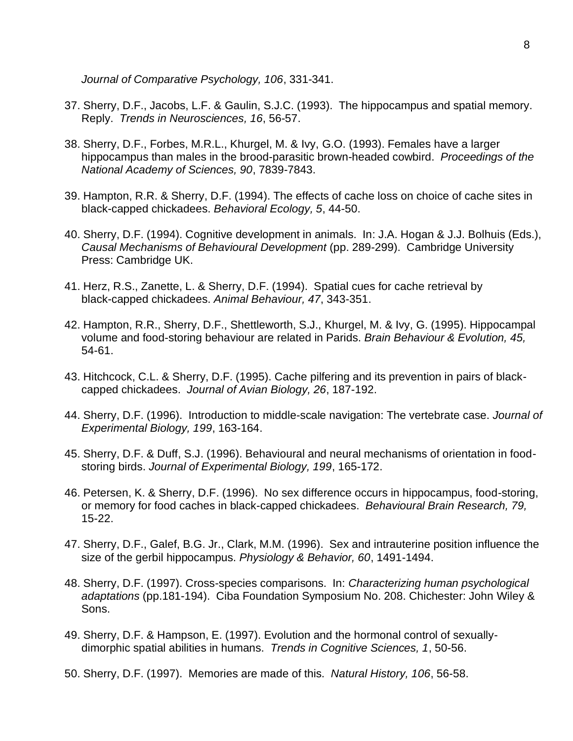*Journal of Comparative Psychology, 106*, 331-341.

- 37. Sherry, D.F., Jacobs, L.F. & Gaulin, S.J.C. (1993). The hippocampus and spatial memory. Reply. *Trends in Neurosciences, 16*, 56-57.
- 38. Sherry, D.F., Forbes, M.R.L., Khurgel, M. & Ivy, G.O. (1993). Females have a larger hippocampus than males in the brood-parasitic brown-headed cowbird. *Proceedings of the National Academy of Sciences, 90*, 7839-7843.
- 39. Hampton, R.R. & Sherry, D.F. (1994). The effects of cache loss on choice of cache sites in black-capped chickadees. *Behavioral Ecology, 5*, 44-50.
- 40. Sherry, D.F. (1994). Cognitive development in animals. In: J.A. Hogan & J.J. Bolhuis (Eds.), *Causal Mechanisms of Behavioural Development* (pp. 289-299). Cambridge University Press: Cambridge UK.
- 41. Herz, R.S., Zanette, L. & Sherry, D.F. (1994). Spatial cues for cache retrieval by black-capped chickadees. *Animal Behaviour, 47*, 343-351.
- 42. Hampton, R.R., Sherry, D.F., Shettleworth, S.J., Khurgel, M. & Ivy, G. (1995). Hippocampal volume and food-storing behaviour are related in Parids. *Brain Behaviour & Evolution, 45,* 54-61.
- 43. Hitchcock, C.L. & Sherry, D.F. (1995). Cache pilfering and its prevention in pairs of blackcapped chickadees. *Journal of Avian Biology, 26*, 187-192.
- 44. Sherry, D.F. (1996). Introduction to middle-scale navigation: The vertebrate case. *Journal of Experimental Biology, 199*, 163-164.
- 45. Sherry, D.F. & Duff, S.J. (1996). Behavioural and neural mechanisms of orientation in foodstoring birds. *Journal of Experimental Biology, 199*, 165-172.
- 46. Petersen, K. & Sherry, D.F. (1996). No sex difference occurs in hippocampus, food-storing, or memory for food caches in black-capped chickadees. *Behavioural Brain Research, 79,* 15-22.
- 47. Sherry, D.F., Galef, B.G. Jr., Clark, M.M. (1996). Sex and intrauterine position influence the size of the gerbil hippocampus. *Physiology & Behavior, 60*, 1491-1494.
- 48. Sherry, D.F. (1997). Cross-species comparisons. In: *Characterizing human psychological adaptations* (pp.181-194). Ciba Foundation Symposium No. 208. Chichester: John Wiley & Sons.
- 49. Sherry, D.F. & Hampson, E. (1997). Evolution and the hormonal control of sexuallydimorphic spatial abilities in humans. *Trends in Cognitive Sciences, 1*, 50-56.
- 50. Sherry, D.F. (1997). Memories are made of this. *Natural History, 106*, 56-58.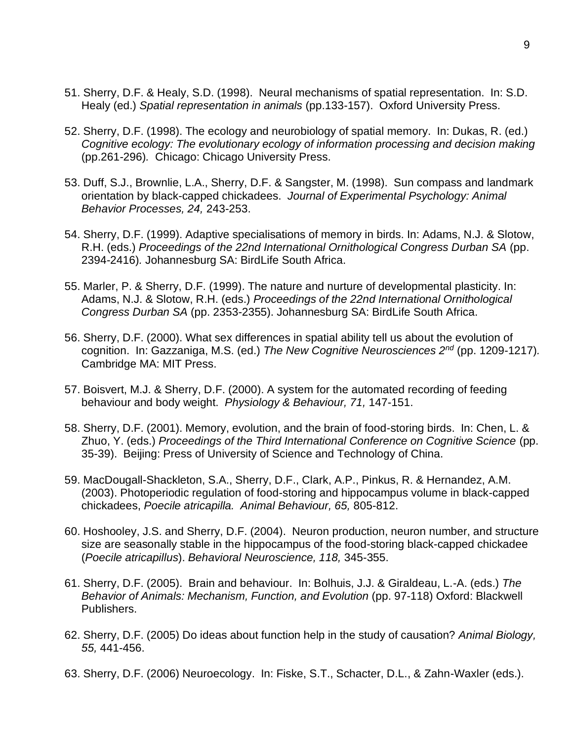- 51. Sherry, D.F. & Healy, S.D. (1998). Neural mechanisms of spatial representation. In: S.D. Healy (ed.) *Spatial representation in animals* (pp.133-157). Oxford University Press.
- 52. Sherry, D.F. (1998). The ecology and neurobiology of spatial memory. In: Dukas, R. (ed.) *Cognitive ecology: The evolutionary ecology of information processing and decision making*  (pp.261-296)*.* Chicago: Chicago University Press.
- 53. Duff, S.J., Brownlie, L.A., Sherry, D.F. & Sangster, M. (1998). Sun compass and landmark orientation by black-capped chickadees. *Journal of Experimental Psychology: Animal Behavior Processes, 24,* 243-253.
- 54. Sherry, D.F. (1999). Adaptive specialisations of memory in birds. In: Adams, N.J. & Slotow, R.H. (eds.) *Proceedings of the 22nd International Ornithological Congress Durban SA* (pp. 2394-2416)*.* Johannesburg SA: BirdLife South Africa.
- 55. Marler, P. & Sherry, D.F. (1999). The nature and nurture of developmental plasticity. In: Adams, N.J. & Slotow, R.H. (eds.) *Proceedings of the 22nd International Ornithological Congress Durban SA* (pp. 2353-2355). Johannesburg SA: BirdLife South Africa.
- 56. Sherry, D.F. (2000). What sex differences in spatial ability tell us about the evolution of cognition. In: Gazzaniga, M.S. (ed.) *The New Cognitive Neurosciences 2nd* (pp. 1209-1217)*.*  Cambridge MA: MIT Press.
- 57. Boisvert, M.J. & Sherry, D.F. (2000). A system for the automated recording of feeding behaviour and body weight. *Physiology & Behaviour, 71,* 147-151.
- 58. Sherry, D.F. (2001). Memory, evolution, and the brain of food-storing birds. In: Chen, L. & Zhuo, Y. (eds.) *Proceedings of the Third International Conference on Cognitive Science* (pp. 35-39). Beijing: Press of University of Science and Technology of China.
- 59. MacDougall-Shackleton, S.A., Sherry, D.F., Clark, A.P., Pinkus, R. & Hernandez, A.M. (2003). Photoperiodic regulation of food-storing and hippocampus volume in black-capped chickadees, *Poecile atricapilla. Animal Behaviour, 65,* 805-812.
- 60. Hoshooley, J.S. and Sherry, D.F. (2004). Neuron production, neuron number, and structure size are seasonally stable in the hippocampus of the food-storing black-capped chickadee (*Poecile atricapillus*). *Behavioral Neuroscience, 118,* 345-355.
- 61. Sherry, D.F. (2005). Brain and behaviour. In: Bolhuis, J.J. & Giraldeau, L.-A. (eds.) *The Behavior of Animals: Mechanism, Function, and Evolution* (pp. 97-118) Oxford: Blackwell Publishers.
- 62. Sherry, D.F. (2005) Do ideas about function help in the study of causation? *Animal Biology, 55,* 441-456.
- 63. Sherry, D.F. (2006) Neuroecology. In: Fiske, S.T., Schacter, D.L., & Zahn-Waxler (eds.).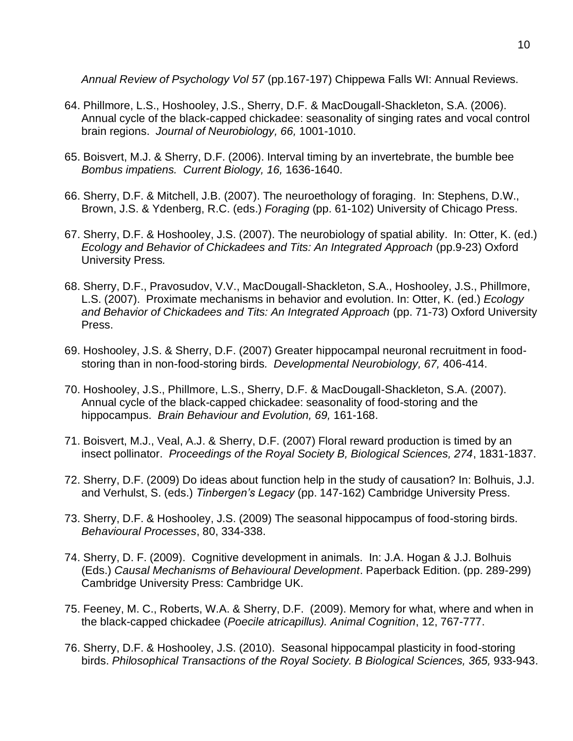*Annual Review of Psychology Vol 57* (pp.167-197) Chippewa Falls WI: Annual Reviews.

- 64. Phillmore, L.S., Hoshooley, J.S., Sherry, D.F. & MacDougall-Shackleton, S.A. (2006). Annual cycle of the black-capped chickadee: seasonality of singing rates and vocal control brain regions. *Journal of Neurobiology, 66,* 1001-1010.
- 65. Boisvert, M.J. & Sherry, D.F. (2006). Interval timing by an invertebrate, the bumble bee *Bombus impatiens. Current Biology, 16,* 1636-1640.
- 66. Sherry, D.F. & Mitchell, J.B. (2007). The neuroethology of foraging. In: Stephens, D.W., Brown, J.S. & Ydenberg, R.C. (eds.) *Foraging* (pp. 61-102) University of Chicago Press.
- 67. Sherry, D.F. & Hoshooley, J.S. (2007). The neurobiology of spatial ability. In: Otter, K. (ed.) *Ecology and Behavior of Chickadees and Tits: An Integrated Approach (pp.9-23) Oxford* University Press*.*
- 68. Sherry, D.F., Pravosudov, V.V., MacDougall-Shackleton, S.A., Hoshooley, J.S., Phillmore, L.S. (2007). Proximate mechanisms in behavior and evolution. In: Otter, K. (ed.) *Ecology and Behavior of Chickadees and Tits: An Integrated Approach* (pp. 71-73) Oxford University Press.
- 69. Hoshooley, J.S. & Sherry, D.F. (2007) Greater hippocampal neuronal recruitment in foodstoring than in non-food-storing birds*. Developmental Neurobiology, 67,* 406-414.
- 70. Hoshooley, J.S., Phillmore, L.S., Sherry, D.F. & MacDougall-Shackleton, S.A. (2007). Annual cycle of the black-capped chickadee: seasonality of food-storing and the hippocampus. *Brain Behaviour and Evolution, 69,* 161-168.
- 71. Boisvert, M.J., Veal, A.J. & Sherry, D.F. (2007) Floral reward production is timed by an insect pollinator. *Proceedings of the Royal Society B, Biological Sciences, 274*, 1831-1837.
- 72. Sherry, D.F. (2009) Do ideas about function help in the study of causation? In: Bolhuis, J.J. and Verhulst, S. (eds.) *Tinbergen's Legacy* (pp. 147-162) Cambridge University Press.
- 73. Sherry, D.F. & Hoshooley, J.S. (2009) The seasonal hippocampus of food-storing birds. *Behavioural Processes*, 80, 334-338.
- 74. Sherry, D. F. (2009). Cognitive development in animals. In: J.A. Hogan & J.J. Bolhuis (Eds.) *Causal Mechanisms of Behavioural Development*. Paperback Edition. (pp. 289-299) Cambridge University Press: Cambridge UK.
- 75. Feeney, M. C., Roberts, W.A. & Sherry, D.F. (2009). Memory for what, where and when in the black-capped chickadee (*Poecile atricapillus). Animal Cognition*, 12, 767-777.
- 76. Sherry, D.F. & Hoshooley, J.S. (2010). Seasonal hippocampal plasticity in food-storing birds. *Philosophical Transactions of the Royal Society. B Biological Sciences, 365,* 933-943.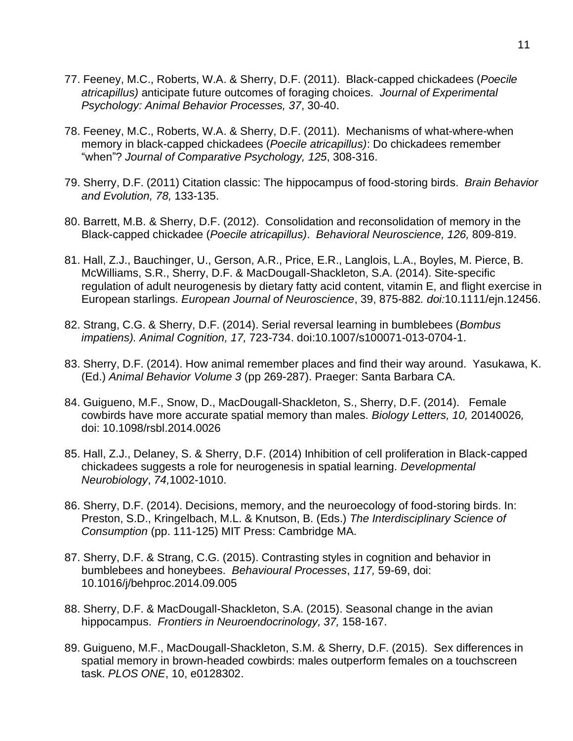- 77. Feeney, M.C., Roberts, W.A. & Sherry, D.F. (2011). Black-capped chickadees (*Poecile atricapillus)* anticipate future outcomes of foraging choices. *Journal of Experimental Psychology: Animal Behavior Processes, 37*, 30-40.
- 78. Feeney, M.C., Roberts, W.A. & Sherry, D.F. (2011). Mechanisms of what-where-when memory in black-capped chickadees (*Poecile atricapillus)*: Do chickadees remember "when"? *Journal of Comparative Psychology, 125*, 308-316.
- 79. Sherry, D.F. (2011) Citation classic: The hippocampus of food-storing birds. *Brain Behavior and Evolution, 78,* 133-135.
- 80. Barrett, M.B. & Sherry, D.F. (2012). Consolidation and reconsolidation of memory in the Black-capped chickadee (*Poecile atricapillus)*. *Behavioral Neuroscience, 126,* 809-819.
- 81. Hall, Z.J., Bauchinger, U., Gerson, A.R., Price, E.R., Langlois, L.A., Boyles, M. Pierce, B. McWilliams, S.R., Sherry, D.F. & MacDougall-Shackleton, S.A. (2014). Site-specific regulation of adult neurogenesis by dietary fatty acid content, vitamin E, and flight exercise in European starlings. *European Journal of Neuroscience*, 39, 875-882*. doi:*10.1111/ejn.12456.
- 82. Strang, C.G. & Sherry, D.F. (2014). Serial reversal learning in bumblebees (*Bombus impatiens). Animal Cognition, 17,* 723-734. doi:10.1007/s100071-013-0704-1.
- 83. Sherry, D.F. (2014). How animal remember places and find their way around. Yasukawa, K. (Ed.) *Animal Behavior Volume 3* (pp 269-287). Praeger: Santa Barbara CA.
- 84. Guigueno, M.F., Snow, D., MacDougall-Shackleton, S., Sherry, D.F. (2014). Female cowbirds have more accurate spatial memory than males. *Biology Letters, 10,* 20140026*,* doi: 10.1098/rsbl.2014.0026
- 85. Hall, Z.J., Delaney, S. & Sherry, D.F. (2014) Inhibition of cell proliferation in Black-capped chickadees suggests a role for neurogenesis in spatial learning. *Developmental Neurobiology*, *74,*1002-1010.
- 86. Sherry, D.F. (2014). Decisions, memory, and the neuroecology of food-storing birds. In: Preston, S.D., Kringelbach, M.L. & Knutson, B. (Eds.) *The Interdisciplinary Science of Consumption* (pp. 111-125) MIT Press: Cambridge MA.
- 87. Sherry, D.F. & Strang, C.G. (2015). Contrasting styles in cognition and behavior in bumblebees and honeybees. *Behavioural Processes*, *117,* 59-69, doi: 10.1016/j/behproc.2014.09.005
- 88. Sherry, D.F. & MacDougall-Shackleton, S.A. (2015). Seasonal change in the avian hippocampus. *Frontiers in Neuroendocrinology, 37,* 158-167.
- 89. Guigueno, M.F., MacDougall-Shackleton, S.M. & Sherry, D.F. (2015). Sex differences in spatial memory in brown-headed cowbirds: males outperform females on a touchscreen task. *PLOS ONE*, 10, e0128302.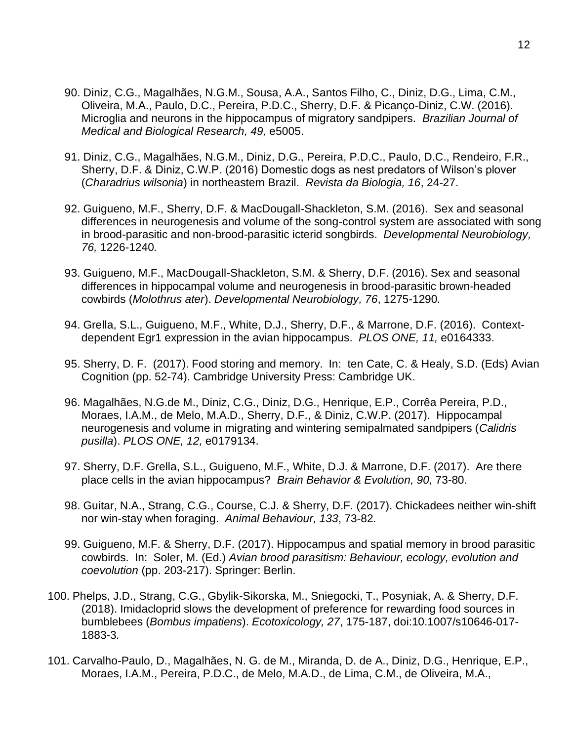- 90. Diniz, C.G., Magalhães, N.G.M., Sousa, A.A., Santos Filho, C., Diniz, D.G., Lima, C.M., Oliveira, M.A., Paulo, D.C., Pereira, P.D.C., Sherry, D.F. & Picanço-Diniz, C.W. (2016). Microglia and neurons in the hippocampus of migratory sandpipers. *Brazilian Journal of Medical and Biological Research, 49,* e5005.
- 91. Diniz, C.G., Magalhães, N.G.M., Diniz, D.G., Pereira, P.D.C., Paulo, D.C., Rendeiro, F.R., Sherry, D.F. & Diniz, C.W.P. (2016) Domestic dogs as nest predators of Wilson's plover (*Charadrius wilsonia*) in northeastern Brazil. *Revista da Biologia, 16*, 24-27.
- 92. Guigueno, M.F., Sherry, D.F. & MacDougall-Shackleton, S.M. (2016). Sex and seasonal differences in neurogenesis and volume of the song-control system are associated with song in brood-parasitic and non-brood-parasitic icterid songbirds. *Developmental Neurobiology, 76,* 1226-1240*.*
- 93. Guigueno, M.F., MacDougall-Shackleton, S.M. & Sherry, D.F. (2016). Sex and seasonal differences in hippocampal volume and neurogenesis in brood-parasitic brown-headed cowbirds (*Molothrus ater*). *Developmental Neurobiology, 76*, 1275-1290*.*
- 94. Grella, S.L., Guigueno, M.F., White, D.J., Sherry, D.F., & Marrone, D.F. (2016). Contextdependent Egr1 expression in the avian hippocampus. *PLOS ONE, 11,* e0164333.
- 95. Sherry, D. F. (2017). Food storing and memory. In: ten Cate, C. & Healy, S.D. (Eds) Avian Cognition (pp. 52-74). Cambridge University Press: Cambridge UK.
- 96. Magalhães, N.G.de M., Diniz, C.G., Diniz, D.G., Henrique, E.P., Corrêa Pereira, P.D., Moraes, I.A.M., de Melo, M.A.D., Sherry, D.F., & Diniz, C.W.P. (2017). Hippocampal neurogenesis and volume in migrating and wintering semipalmated sandpipers (*Calidris pusilla*). *PLOS ONE, 12,* e0179134.
- 97. Sherry, D.F. Grella, S.L., Guigueno, M.F., White, D.J. & Marrone, D.F. (2017). Are there place cells in the avian hippocampus? *Brain Behavior & Evolution, 90,* 73-80.
- 98. Guitar, N.A., Strang, C.G., Course, C.J. & Sherry, D.F. (2017). Chickadees neither win-shift nor win-stay when foraging. *Animal Behaviour, 133*, 73-82*.*
- 99. Guigueno, M.F. & Sherry, D.F. (2017). Hippocampus and spatial memory in brood parasitic cowbirds. In: Soler, M. (Ed.) *Avian brood parasitism: Behaviour, ecology, evolution and coevolution* (pp. 203-217). Springer: Berlin.
- 100. Phelps, J.D., Strang, C.G., Gbylik-Sikorska, M., Sniegocki, T., Posyniak, A. & Sherry, D.F. (2018). Imidacloprid slows the development of preference for rewarding food sources in bumblebees (*Bombus impatiens*). *Ecotoxicology, 27*, 175-187, doi:10.1007/s10646-017- 1883-3*.*
- 101. Carvalho-Paulo, D., Magalhães, N. G. de M., Miranda, D. de A., Diniz, D.G., Henrique, E.P., Moraes, I.A.M., Pereira, P.D.C., de Melo, M.A.D., de Lima, C.M., de Oliveira, M.A.,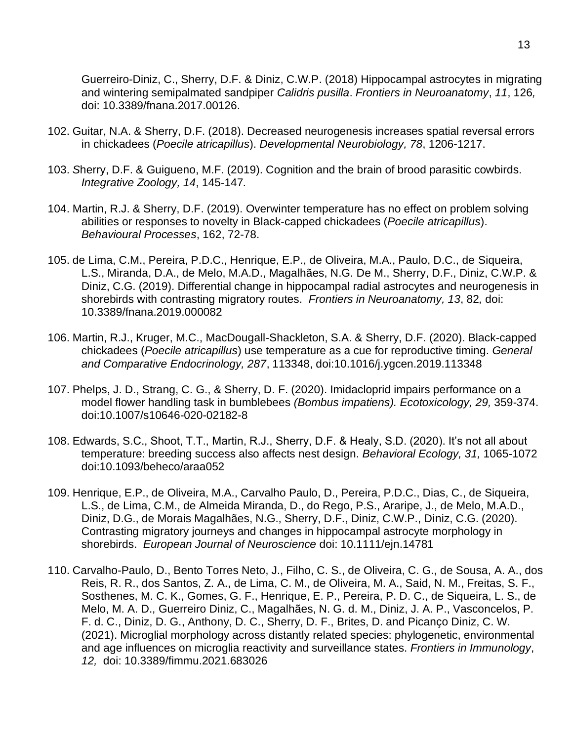Guerreiro-Diniz, C., Sherry, D.F. & Diniz, C.W.P. (2018) Hippocampal astrocytes in migrating and wintering semipalmated sandpiper *Calidris pusilla*. *Frontiers in Neuroanatomy*, *11*, 126*,* doi: 10.3389/fnana.2017.00126.

- 102. Guitar, N.A. & Sherry, D.F. (2018). Decreased neurogenesis increases spatial reversal errors in chickadees (*Poecile atricapillus*). *Developmental Neurobiology, 78*, 1206-1217.
- 103. *S*herry, D.F. & Guigueno, M.F. (2019). Cognition and the brain of brood parasitic cowbirds. *Integrative Zoology, 14*, 145-147*.*
- 104. Martin, R.J. & Sherry, D.F. (2019). Overwinter temperature has no effect on problem solving abilities or responses to novelty in Black-capped chickadees (*Poecile atricapillus*). *Behavioural Processes*, 162, 72-78.
- 105. de Lima, C.M., Pereira, P.D.C., Henrique, E.P., de Oliveira, M.A., Paulo, D.C., de Siqueira, L.S., Miranda, D.A., de Melo, M.A.D., Magalhães, N.G. De M., Sherry, D.F., Diniz, C.W.P. & Diniz, C.G. (2019). Differential change in hippocampal radial astrocytes and neurogenesis in shorebirds with contrasting migratory routes. *Frontiers in Neuroanatomy, 13*, 82*,* doi: 10.3389/fnana.2019.000082
- 106. Martin, R.J., Kruger, M.C., MacDougall-Shackleton, S.A. & Sherry, D.F. (2020). Black-capped chickadees (*Poecile atricapillus*) use temperature as a cue for reproductive timing. *General and Comparative Endocrinology, 287*, 113348, doi:10.1016/j.ygcen.2019.113348
- 107. Phelps, J. D., Strang, C. G., & Sherry, D. F. (2020). Imidacloprid impairs performance on a model flower handling task in bumblebees *(Bombus impatiens). Ecotoxicology, 29,* 359-374. doi:10.1007/s10646-020-02182-8
- 108. Edwards, S.C., Shoot, T.T., Martin, R.J., Sherry, D.F. & Healy, S.D. (2020). It's not all about temperature: breeding success also affects nest design. *Behavioral Ecology, 31,* 1065-1072 doi:10.1093/beheco/araa052
- 109. Henrique, E.P., de Oliveira, M.A., Carvalho Paulo, D., Pereira, P.D.C., Dias, C., de Siqueira, L.S., de Lima, C.M., de Almeida Miranda, D., do Rego, P.S., Araripe, J., de Melo, M.A.D., Diniz, D.G., de Morais Magalhães, N.G., Sherry, D.F., Diniz, C.W.P., Diniz, C.G. (2020). Contrasting migratory journeys and changes in hippocampal astrocyte morphology in shorebirds. *European Journal of Neuroscience* doi: 10.1111/ejn.14781
- 110. Carvalho-Paulo, D., Bento Torres Neto, J., Filho, C. S., de Oliveira, C. G., de Sousa, A. A., dos Reis, R. R., dos Santos, Z. A., de Lima, C. M., de Oliveira, M. A., Said, N. M., Freitas, S. F., Sosthenes, M. C. K., Gomes, G. F., Henrique, E. P., Pereira, P. D. C., de Siqueira, L. S., de Melo, M. A. D., Guerreiro Diniz, C., Magalhães, N. G. d. M., Diniz, J. A. P., Vasconcelos, P. F. d. C., Diniz, D. G., Anthony, D. C., Sherry, D. F., Brites, D. and Picanço Diniz, C. W. (2021). Microglial morphology across distantly related species: phylogenetic, environmental and age influences on microglia reactivity and surveillance states. *Frontiers in Immunology*, *12,* doi: 10.3389/fimmu.2021.683026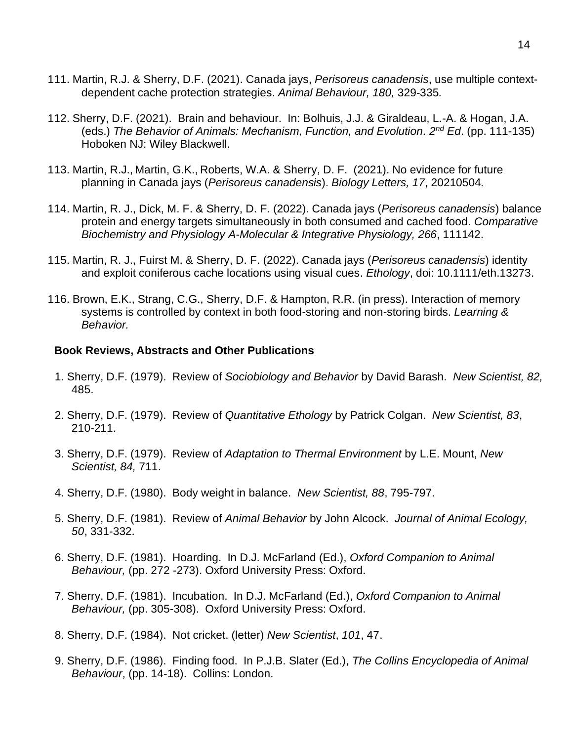- 111. Martin, R.J. & Sherry, D.F. (2021). Canada jays, *Perisoreus canadensis*, use multiple contextdependent cache protection strategies. *Animal Behaviour, 180,* 329-335*.*
- 112. Sherry, D.F. (2021). Brain and behaviour. In: Bolhuis, J.J. & Giraldeau, L.-A. & Hogan, J.A. (eds.) The Behavior of Animals: Mechanism, Function, and Evolution. 2<sup>nd</sup> Ed. (pp. 111-135) Hoboken NJ: Wiley Blackwell.
- 113. Martin, R.J., Martin, G.K., Roberts, W.A. & Sherry, D. F. (2021). No evidence for future planning in Canada jays (*Perisoreus canadensis*). *Biology Letters, 17*, 20210504*.*
- 114. Martin, R. J., Dick, M. F. & Sherry, D. F. (2022). Canada jays (*Perisoreus canadensis*) balance protein and energy targets simultaneously in both consumed and cached food. *Comparative Biochemistry and Physiology A-Molecular & Integrative Physiology, 266*, 111142.
- 115. Martin, R. J., Fuirst M. & Sherry, D. F. (2022). Canada jays (*Perisoreus canadensis*) identity and exploit coniferous cache locations using visual cues. *Ethology*, doi: 10.1111/eth.13273.
- 116. Brown, E.K., Strang, C.G., Sherry, D.F. & Hampton, R.R. (in press). Interaction of memory systems is controlled by context in both food-storing and non-storing birds. *Learning & Behavior.*

### **Book Reviews, Abstracts and Other Publications**

- 1. Sherry, D.F. (1979). Review of *Sociobiology and Behavior* by David Barash. *New Scientist, 82,* 485.
- 2. Sherry, D.F. (1979). Review of *Quantitative Ethology* by Patrick Colgan. *New Scientist, 83*, 210-211.
- 3. Sherry, D.F. (1979). Review of *Adaptation to Thermal Environment* by L.E. Mount, *New Scientist, 84,* 711.
- 4. Sherry, D.F. (1980). Body weight in balance. *New Scientist, 88*, 795-797.
- 5. Sherry, D.F. (1981). Review of *Animal Behavior* by John Alcock. *Journal of Animal Ecology, 50*, 331-332.
- 6. Sherry, D.F. (1981). Hoarding. In D.J. McFarland (Ed.), *Oxford Companion to Animal Behaviour,* (pp. 272 -273). Oxford University Press: Oxford.
- 7. Sherry, D.F. (1981). Incubation. In D.J. McFarland (Ed.), *Oxford Companion to Animal Behaviour,* (pp. 305-308). Oxford University Press: Oxford.
- 8. Sherry, D.F. (1984). Not cricket. (letter) *New Scientist*, *101*, 47.
- 9. Sherry, D.F. (1986). Finding food. In P.J.B. Slater (Ed.), *The Collins Encyclopedia of Animal Behaviour*, (pp. 14-18). Collins: London.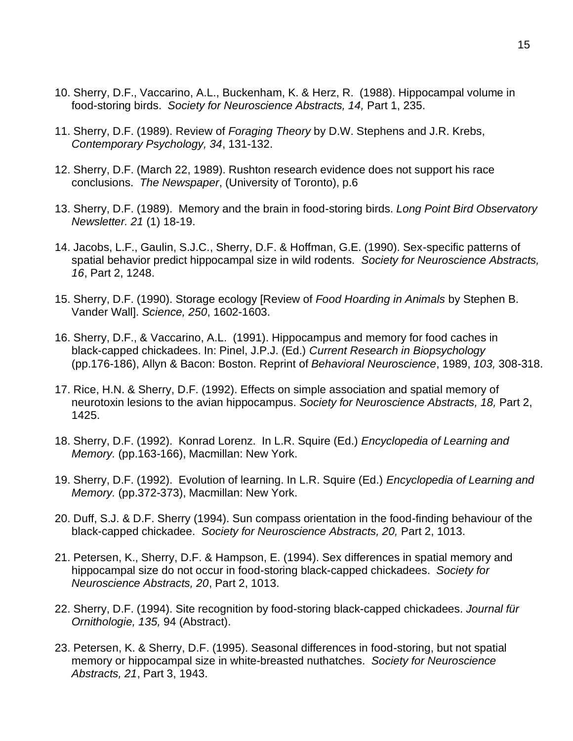- 10. Sherry, D.F., Vaccarino, A.L., Buckenham, K. & Herz, R. (1988). Hippocampal volume in food-storing birds. *Society for Neuroscience Abstracts, 14,* Part 1, 235.
- 11. Sherry, D.F. (1989). Review of *Foraging Theory* by D.W. Stephens and J.R. Krebs, *Contemporary Psychology, 34*, 131-132.
- 12. Sherry, D.F. (March 22, 1989). Rushton research evidence does not support his race conclusions. *The Newspaper*, (University of Toronto), p.6
- 13. Sherry, D.F. (1989). Memory and the brain in food-storing birds. *Long Point Bird Observatory Newsletter. 21* (1) 18-19.
- 14. Jacobs, L.F., Gaulin, S.J.C., Sherry, D.F. & Hoffman, G.E. (1990). Sex-specific patterns of spatial behavior predict hippocampal size in wild rodents. *Society for Neuroscience Abstracts, 16*, Part 2, 1248.
- 15. Sherry, D.F. (1990). Storage ecology [Review of *Food Hoarding in Animals* by Stephen B. Vander Wall]. *Science, 250*, 1602-1603.
- 16. Sherry, D.F., & Vaccarino, A.L. (1991). Hippocampus and memory for food caches in black-capped chickadees. In: Pinel, J.P.J. (Ed.) *Current Research in Biopsychology* (pp.176-186), Allyn & Bacon: Boston. Reprint of *Behavioral Neuroscience*, 1989, *103,* 308-318.
- 17. Rice, H.N. & Sherry, D.F. (1992). Effects on simple association and spatial memory of neurotoxin lesions to the avian hippocampus. *Society for Neuroscience Abstracts, 18,* Part 2, 1425.
- 18. Sherry, D.F. (1992). Konrad Lorenz. In L.R. Squire (Ed.) *Encyclopedia of Learning and Memory.* (pp.163-166), Macmillan: New York.
- 19. Sherry, D.F. (1992). Evolution of learning. In L.R. Squire (Ed.) *Encyclopedia of Learning and Memory.* (pp.372-373), Macmillan: New York.
- 20. Duff, S.J. & D.F. Sherry (1994). Sun compass orientation in the food-finding behaviour of the black-capped chickadee. *Society for Neuroscience Abstracts, 20,* Part 2, 1013.
- 21. Petersen, K., Sherry, D.F. & Hampson, E. (1994). Sex differences in spatial memory and hippocampal size do not occur in food-storing black-capped chickadees. *Society for Neuroscience Abstracts, 20*, Part 2, 1013.
- 22. Sherry, D.F. (1994). Site recognition by food-storing black-capped chickadees. *Journal für Ornithologie, 135,* 94 (Abstract).
- 23. Petersen, K. & Sherry, D.F. (1995). Seasonal differences in food-storing, but not spatial memory or hippocampal size in white-breasted nuthatches. *Society for Neuroscience Abstracts, 21*, Part 3, 1943.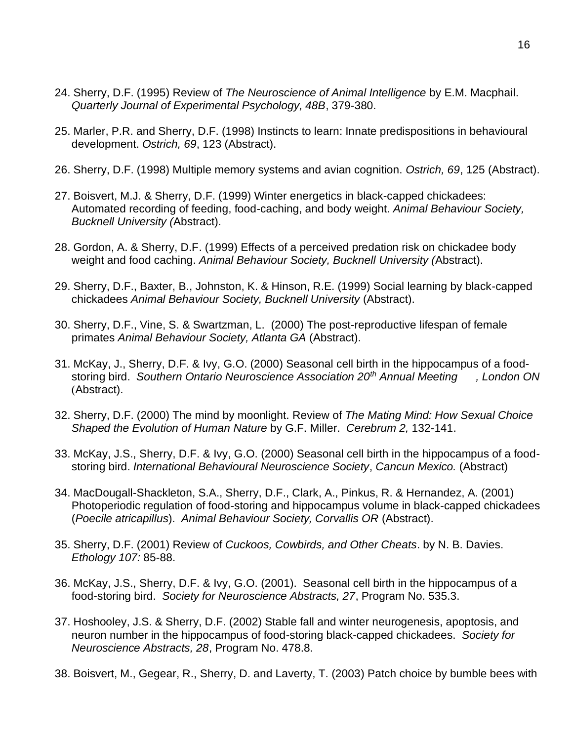- 24. Sherry, D.F. (1995) Review of *The Neuroscience of Animal Intelligence* by E.M. Macphail. *Quarterly Journal of Experimental Psychology, 48B*, 379-380.
- 25. Marler, P.R. and Sherry, D.F. (1998) Instincts to learn: Innate predispositions in behavioural development. *Ostrich, 69*, 123 (Abstract).
- 26. Sherry, D.F. (1998) Multiple memory systems and avian cognition. *Ostrich, 69*, 125 (Abstract).
- 27. Boisvert, M.J. & Sherry, D.F. (1999) Winter energetics in black-capped chickadees: Automated recording of feeding, food-caching, and body weight. *Animal Behaviour Society, Bucknell University (*Abstract).
- 28. Gordon, A. & Sherry, D.F. (1999) Effects of a perceived predation risk on chickadee body weight and food caching. *Animal Behaviour Society, Bucknell University (*Abstract).
- 29. Sherry, D.F., Baxter, B., Johnston, K. & Hinson, R.E. (1999) Social learning by black-capped chickadees *Animal Behaviour Society, Bucknell University* (Abstract).
- 30. Sherry, D.F., Vine, S. & Swartzman, L. (2000) The post-reproductive lifespan of female primates *Animal Behaviour Society, Atlanta GA* (Abstract).
- 31. McKay, J., Sherry, D.F. & Ivy, G.O. (2000) Seasonal cell birth in the hippocampus of a foodstoring bird. *Southern Ontario Neuroscience Association 20th Annual Meeting , London ON* (Abstract).
- 32. Sherry, D.F. (2000) The mind by moonlight. Review of *The Mating Mind: How Sexual Choice Shaped the Evolution of Human Nature* by G.F. Miller. *Cerebrum 2,* 132-141.
- 33. McKay, J.S., Sherry, D.F. & Ivy, G.O. (2000) Seasonal cell birth in the hippocampus of a foodstoring bird. *International Behavioural Neuroscience Society*, *Cancun Mexico.* (Abstract)
- 34. MacDougall-Shackleton, S.A., Sherry, D.F., Clark, A., Pinkus, R. & Hernandez, A. (2001) Photoperiodic regulation of food-storing and hippocampus volume in black-capped chickadees (*Poecile atricapillus*). *Animal Behaviour Society, Corvallis OR* (Abstract).
- 35. Sherry, D.F. (2001) Review of *Cuckoos, Cowbirds, and Other Cheats*. by N. B. Davies. *Ethology 107:* 85-88.
- 36. McKay, J.S., Sherry, D.F. & Ivy, G.O. (2001). Seasonal cell birth in the hippocampus of a food-storing bird. *Society for Neuroscience Abstracts, 27*, Program No. 535.3.
- 37. Hoshooley, J.S. & Sherry, D.F. (2002) Stable fall and winter neurogenesis, apoptosis, and neuron number in the hippocampus of food-storing black-capped chickadees. *Society for Neuroscience Abstracts, 28*, Program No. 478.8.
- 38. Boisvert, M., Gegear, R., Sherry, D. and Laverty, T. (2003) Patch choice by bumble bees with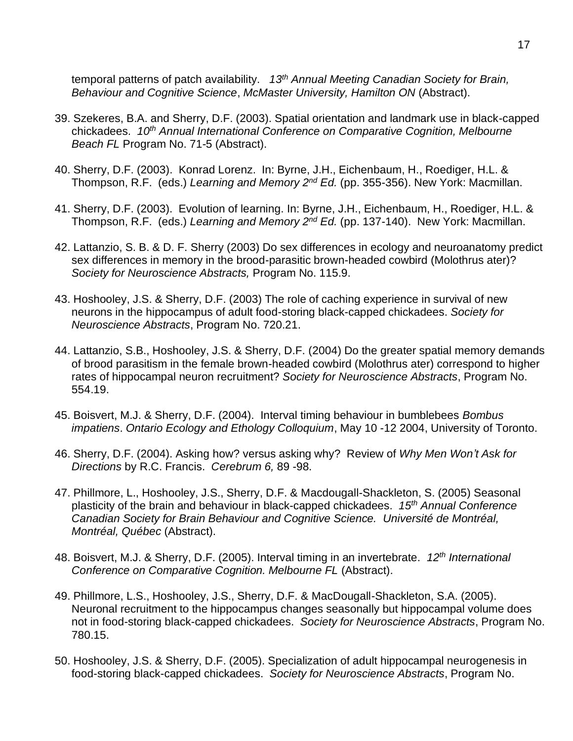temporal patterns of patch availability. *13th Annual Meeting Canadian Society for Brain, Behaviour and Cognitive Science*, *McMaster University, Hamilton ON* (Abstract).

- 39. Szekeres, B.A. and Sherry, D.F. (2003). Spatial orientation and landmark use in black-capped chickadees. *10th Annual International Conference on Comparative Cognition, Melbourne Beach FL* Program No. 71-5 (Abstract).
- 40. Sherry, D.F. (2003). Konrad Lorenz. In: Byrne, J.H., Eichenbaum, H., Roediger, H.L. & Thompson, R.F. (eds.) *Learning and Memory 2nd Ed.* (pp. 355-356). New York: Macmillan.
- 41. Sherry, D.F. (2003). Evolution of learning. In: Byrne, J.H., Eichenbaum, H., Roediger, H.L. & Thompson, R.F. (eds.) *Learning and Memory 2nd Ed.* (pp. 137-140). New York: Macmillan.
- 42. Lattanzio, S. B. & D. F. Sherry (2003) Do sex differences in ecology and neuroanatomy predict sex differences in memory in the brood-parasitic brown-headed cowbird (Molothrus ater)? *Society for Neuroscience Abstracts,* Program No. 115.9.
- 43. Hoshooley, J.S. & Sherry, D.F. (2003) The role of caching experience in survival of new neurons in the hippocampus of adult food-storing black-capped chickadees. *Society for Neuroscience Abstracts*, Program No. 720.21.
- 44. Lattanzio, S.B., Hoshooley, J.S. & Sherry, D.F. (2004) Do the greater spatial memory demands of brood parasitism in the female brown-headed cowbird (Molothrus ater) correspond to higher rates of hippocampal neuron recruitment? *Society for Neuroscience Abstracts*, Program No. 554.19.
- 45. Boisvert, M.J. & Sherry, D.F. (2004). Interval timing behaviour in bumblebees *Bombus impatiens*. *Ontario Ecology and Ethology Colloquium*, May 10 -12 2004, University of Toronto.
- 46. Sherry, D.F. (2004). Asking how? versus asking why? Review of *Why Men Won't Ask for Directions* by R.C. Francis. *Cerebrum 6,* 89 -98.
- 47. Phillmore, L., Hoshooley, J.S., Sherry, D.F. & Macdougall-Shackleton, S. (2005) Seasonal plasticity of the brain and behaviour in black-capped chickadees. *15th Annual Conference Canadian Society for Brain Behaviour and Cognitive Science. Université de Montréal, Montréal, Québec* (Abstract).
- 48. Boisvert, M.J. & Sherry, D.F. (2005). Interval timing in an invertebrate. *12th International Conference on Comparative Cognition. Melbourne FL* (Abstract).
- 49. Phillmore, L.S., Hoshooley, J.S., Sherry, D.F. & MacDougall-Shackleton, S.A. (2005). Neuronal recruitment to the hippocampus changes seasonally but hippocampal volume does not in food-storing black-capped chickadees. *Society for Neuroscience Abstracts*, Program No. 780.15.
- 50. Hoshooley, J.S. & Sherry, D.F. (2005). Specialization of adult hippocampal neurogenesis in food-storing black-capped chickadees. *Society for Neuroscience Abstracts*, Program No.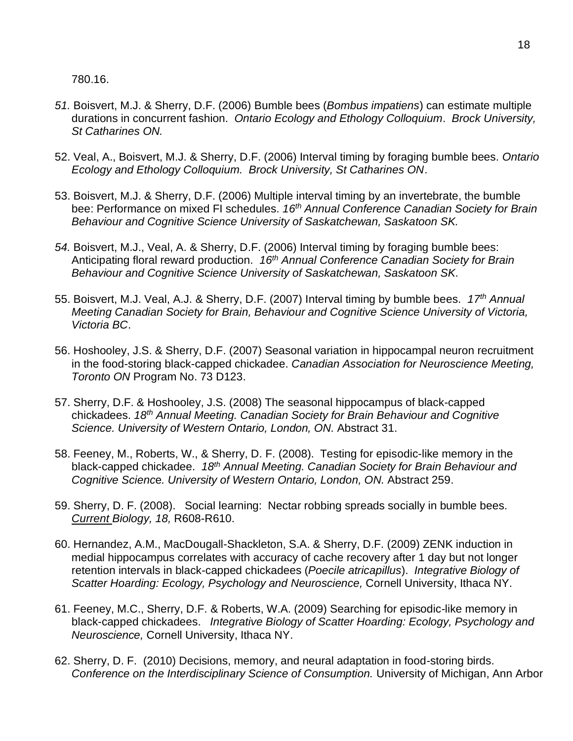780.16.

- *51.* Boisvert, M.J. & Sherry, D.F. (2006) Bumble bees (*Bombus impatiens*) can estimate multiple durations in concurrent fashion. *Ontario Ecology and Ethology Colloquium*. *Brock University, St Catharines ON.*
- 52. Veal, A., Boisvert, M.J. & Sherry, D.F. (2006) Interval timing by foraging bumble bees. *Ontario Ecology and Ethology Colloquium. Brock University, St Catharines ON*.
- 53. Boisvert, M.J. & Sherry, D.F. (2006) Multiple interval timing by an invertebrate, the bumble bee: Performance on mixed FI schedules. *16th Annual Conference Canadian Society for Brain Behaviour and Cognitive Science University of Saskatchewan, Saskatoon SK.*
- *54.* Boisvert, M.J., Veal, A. & Sherry, D.F. (2006) Interval timing by foraging bumble bees: Anticipating floral reward production. *16th Annual Conference Canadian Society for Brain Behaviour and Cognitive Science University of Saskatchewan, Saskatoon SK.*
- 55. Boisvert, M.J. Veal, A.J. & Sherry, D.F. (2007) Interval timing by bumble bees. *17th Annual Meeting Canadian Society for Brain, Behaviour and Cognitive Science University of Victoria, Victoria BC*.
- 56. Hoshooley, J.S. & Sherry, D.F. (2007) Seasonal variation in hippocampal neuron recruitment in the food-storing black-capped chickadee. *Canadian Association for Neuroscience Meeting, Toronto ON* Program No. 73 D123.
- 57. Sherry, D.F. & Hoshooley, J.S. (2008) The seasonal hippocampus of black-capped chickadees. *18th Annual Meeting. Canadian Society for Brain Behaviour and Cognitive Science. University of Western Ontario, London, ON.* Abstract 31.
- 58. Feeney, M., Roberts, W., & Sherry, D. F. (2008). Testing for episodic-like memory in the black-capped chickadee. *18th Annual Meeting. Canadian Society for Brain Behaviour and Cognitive Scienc*e*. University of Western Ontario, London, ON.* Abstract 259.
- 59. Sherry, D. F. (2008). Social learning: Nectar robbing spreads socially in bumble bees. *Current Biology, 18,* R608-R610.
- 60. Hernandez, A.M., MacDougall-Shackleton, S.A. & Sherry, D.F. (2009) ZENK induction in medial hippocampus correlates with accuracy of cache recovery after 1 day but not longer retention intervals in black-capped chickadees (*Poecile atricapillus*). *Integrative Biology of Scatter Hoarding: Ecology, Psychology and Neuroscience,* Cornell University, Ithaca NY.
- 61. Feeney, M.C., Sherry, D.F. & Roberts, W.A. (2009) Searching for episodic-like memory in black-capped chickadees. *Integrative Biology of Scatter Hoarding: Ecology, Psychology and Neuroscience,* Cornell University, Ithaca NY.
- 62. Sherry, D. F. (2010) Decisions, memory, and neural adaptation in food-storing birds. *Conference on the Interdisciplinary Science of Consumption.* University of Michigan, Ann Arbor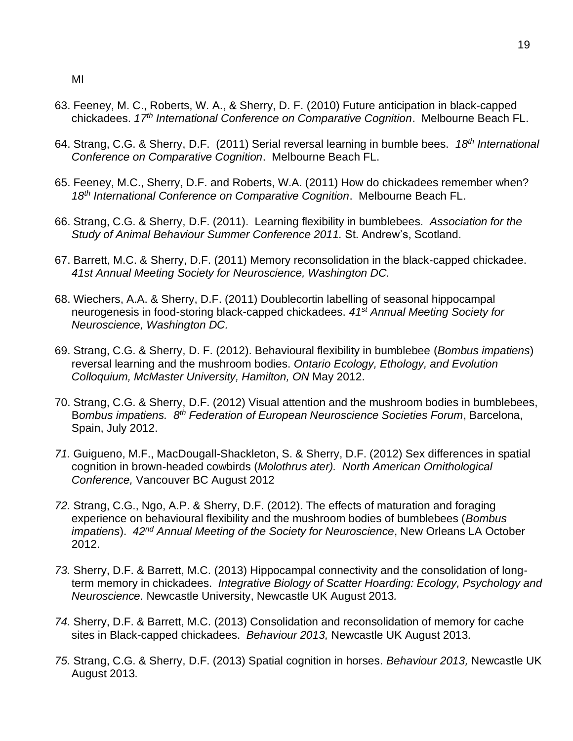MI

- 63. Feeney, M. C., Roberts, W. A., & Sherry, D. F. (2010) Future anticipation in black-capped chickadees. *17th International Conference on Comparative Cognition*. Melbourne Beach FL.
- 64. Strang, C.G. & Sherry, D.F. (2011) Serial reversal learning in bumble bees. *18 th International Conference on Comparative Cognition*. Melbourne Beach FL.
- 65. Feeney, M.C., Sherry, D.F. and Roberts, W.A. (2011) How do chickadees remember when? *18 th International Conference on Comparative Cognition*. Melbourne Beach FL.
- 66. Strang, C.G. & Sherry, D.F. (2011). Learning flexibility in bumblebees. *Association for the Study of Animal Behaviour Summer Conference 2011.* St. Andrew's, Scotland.
- 67. Barrett, M.C. & Sherry, D.F. (2011) Memory reconsolidation in the black-capped chickadee. *41st Annual Meeting Society for Neuroscience, Washington DC.*
- 68. Wiechers, A.A. & Sherry, D.F. (2011) Doublecortin labelling of seasonal hippocampal neurogenesis in food-storing black-capped chickadees. *41st Annual Meeting Society for Neuroscience, Washington DC.*
- 69. Strang, C.G. & Sherry, D. F. (2012). Behavioural flexibility in bumblebee (*Bombus impatiens*) reversal learning and the mushroom bodies. *Ontario Ecology, Ethology, and Evolution Colloquium, McMaster University, Hamilton, ON* May 2012.
- 70. Strang, C.G. & Sherry, D.F. (2012) Visual attention and the mushroom bodies in bumblebees, B*ombus impatiens. 8 th Federation of European Neuroscience Societies Forum*, Barcelona, Spain, July 2012.
- *71.* Guigueno, M.F., MacDougall-Shackleton, S. & Sherry, D.F. (2012) Sex differences in spatial cognition in brown-headed cowbirds (*Molothrus ater). North American Ornithological Conference,* Vancouver BC August 2012
- *72.* Strang, C.G., Ngo, A.P. & Sherry, D.F. (2012). The effects of maturation and foraging experience on behavioural flexibility and the mushroom bodies of bumblebees (*Bombus impatiens*). *42nd Annual Meeting of the Society for Neuroscience*, New Orleans LA October 2012.
- *73.* Sherry, D.F. & Barrett, M.C. (2013) Hippocampal connectivity and the consolidation of longterm memory in chickadees. *Integrative Biology of Scatter Hoarding: Ecology, Psychology and Neuroscience.* Newcastle University, Newcastle UK August 2013*.*
- *74.* Sherry, D.F. & Barrett, M.C. (2013) Consolidation and reconsolidation of memory for cache sites in Black-capped chickadees. *Behaviour 2013,* Newcastle UK August 2013*.*
- *75.* Strang, C.G. & Sherry, D.F. (2013) Spatial cognition in horses. *Behaviour 2013,* Newcastle UK August 2013*.*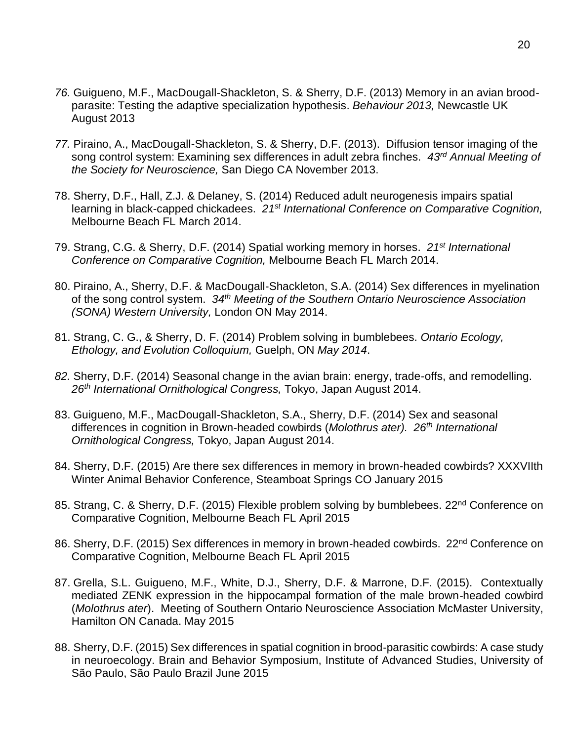- *76.* Guigueno, M.F., MacDougall-Shackleton, S. & Sherry, D.F. (2013) Memory in an avian broodparasite: Testing the adaptive specialization hypothesis. *Behaviour 2013,* Newcastle UK August 2013
- *77.* Piraino, A., MacDougall-Shackleton, S. & Sherry, D.F. (2013). Diffusion tensor imaging of the song control system: Examining sex differences in adult zebra finches. *43rd Annual Meeting of the Society for Neuroscience,* San Diego CA November 2013.
- 78. Sherry, D.F., Hall, Z.J. & Delaney, S. (2014) Reduced adult neurogenesis impairs spatial learning in black-capped chickadees. *21st International Conference on Comparative Cognition,*  Melbourne Beach FL March 2014.
- 79. Strang, C.G. & Sherry, D.F. (2014) Spatial working memory in horses. *21st International Conference on Comparative Cognition,* Melbourne Beach FL March 2014.
- 80. Piraino, A., Sherry, D.F. & MacDougall-Shackleton, S.A. (2014) Sex differences in myelination of the song control system. *34th Meeting of the Southern Ontario Neuroscience Association (SONA) Western University,* London ON May 2014.
- 81. Strang, C. G., & Sherry, D. F. (2014) Problem solving in bumblebees. *Ontario Ecology, Ethology, and Evolution Colloquium,* Guelph, ON *May 2014*.
- *82.* Sherry, D.F. (2014) Seasonal change in the avian brain: energy, trade-offs, and remodelling. *26th International Ornithological Congress,* Tokyo, Japan August 2014.
- 83. Guigueno, M.F., MacDougall-Shackleton, S.A., Sherry, D.F. (2014) Sex and seasonal differences in cognition in Brown-headed cowbirds (*Molothrus ater). 26th International Ornithological Congress,* Tokyo, Japan August 2014.
- 84. Sherry, D.F. (2015) Are there sex differences in memory in brown-headed cowbirds? XXXVIIth Winter Animal Behavior Conference, Steamboat Springs CO January 2015
- 85. Strang, C. & Sherry, D.F. (2015) Flexible problem solving by bumblebees. 22<sup>nd</sup> Conference on Comparative Cognition, Melbourne Beach FL April 2015
- 86. Sherry, D.F. (2015) Sex differences in memory in brown-headed cowbirds. 22<sup>nd</sup> Conference on Comparative Cognition, Melbourne Beach FL April 2015
- 87. Grella, S.L. Guigueno, M.F., White, D.J., Sherry, D.F. & Marrone, D.F. (2015). Contextually mediated ZENK expression in the hippocampal formation of the male brown-headed cowbird (*Molothrus ater*). Meeting of Southern Ontario Neuroscience Association McMaster University, Hamilton ON Canada. May 2015
- 88. Sherry, D.F. (2015) Sex differences in spatial cognition in brood-parasitic cowbirds: A case study in neuroecology. Brain and Behavior Symposium, Institute of Advanced Studies, University of São Paulo, São Paulo Brazil June 2015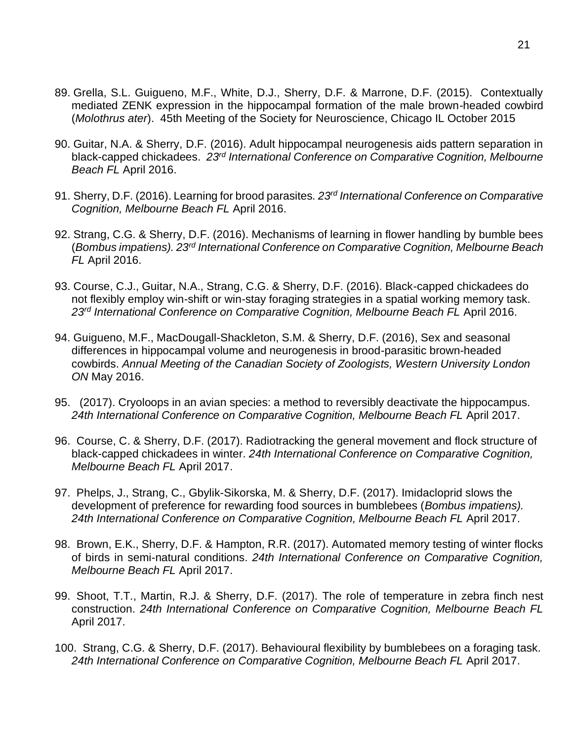- 89. Grella, S.L. Guigueno, M.F., White, D.J., Sherry, D.F. & Marrone, D.F. (2015). Contextually mediated ZENK expression in the hippocampal formation of the male brown-headed cowbird (*Molothrus ater*). 45th Meeting of the Society for Neuroscience, Chicago IL October 2015
- 90. Guitar, N.A. & Sherry, D.F. (2016). Adult hippocampal neurogenesis aids pattern separation in black-capped chickadees. *23rd International Conference on Comparative Cognition, Melbourne Beach FL* April 2016.
- 91. Sherry, D.F. (2016). Learning for brood parasites. *23rd International Conference on Comparative Cognition, Melbourne Beach FL* April 2016.
- 92. Strang, C.G. & Sherry, D.F. (2016). Mechanisms of learning in flower handling by bumble bees (*Bombus impatiens). 23rd International Conference on Comparative Cognition, Melbourne Beach FL* April 2016.
- 93. Course, C.J., Guitar, N.A., Strang, C.G. & Sherry, D.F. (2016). Black-capped chickadees do not flexibly employ win-shift or win-stay foraging strategies in a spatial working memory task. *23rd International Conference on Comparative Cognition, Melbourne Beach FL* April 2016.
- 94. Guigueno, M.F., MacDougall-Shackleton, S.M. & Sherry, D.F. (2016), Sex and seasonal differences in hippocampal volume and neurogenesis in brood-parasitic brown-headed cowbirds. *Annual Meeting of the Canadian Society of Zoologists, Western University London ON* May 2016.
- 95. (2017). Cryoloops in an avian species: a method to reversibly deactivate the hippocampus. *24th International Conference on Comparative Cognition, Melbourne Beach FL* April 2017.
- 96. Course, C. & Sherry, D.F. (2017). Radiotracking the general movement and flock structure of black-capped chickadees in winter. *24th International Conference on Comparative Cognition, Melbourne Beach FL* April 2017.
- 97. Phelps, J., Strang, C., Gbylik-Sikorska, M. & Sherry, D.F. (2017). Imidacloprid slows the development of preference for rewarding food sources in bumblebees (*Bombus impatiens). 24th International Conference on Comparative Cognition, Melbourne Beach FL* April 2017.
- 98. Brown, E.K., Sherry, D.F. & Hampton, R.R. (2017). Automated memory testing of winter flocks of birds in semi-natural conditions. *24th International Conference on Comparative Cognition, Melbourne Beach FL* April 2017.
- 99. Shoot, T.T., Martin, R.J. & Sherry, D.F. (2017). The role of temperature in zebra finch nest construction. *24th International Conference on Comparative Cognition, Melbourne Beach FL*  April 2017.
- 100. Strang, C.G. & Sherry, D.F. (2017). Behavioural flexibility by bumblebees on a foraging task. *24th International Conference on Comparative Cognition, Melbourne Beach FL* April 2017.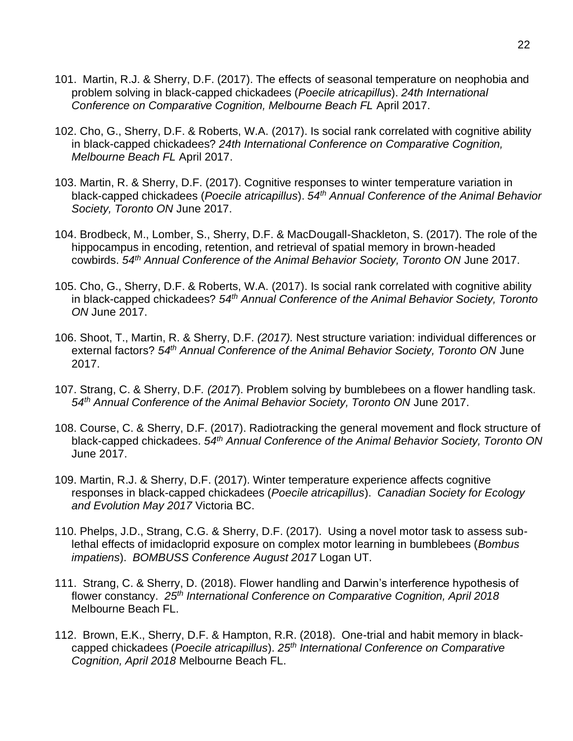- 101. Martin, R.J. & Sherry, D.F. (2017). The effects of seasonal temperature on neophobia and problem solving in black-capped chickadees (*Poecile atricapillus*). *24th International Conference on Comparative Cognition, Melbourne Beach FL* April 2017.
- 102. Cho, G., Sherry, D.F. & Roberts, W.A. (2017). Is social rank correlated with cognitive ability in black-capped chickadees? *24th International Conference on Comparative Cognition, Melbourne Beach FL* April 2017.
- 103. Martin, R. & Sherry, D.F. (2017). Cognitive responses to winter temperature variation in black-capped chickadees (*Poecile atricapillus*). *54th Annual Conference of the Animal Behavior Society, Toronto ON* June 2017.
- 104. Brodbeck, M., Lomber, S., Sherry, D.F. & MacDougall-Shackleton, S. (2017). The role of the hippocampus in encoding, retention, and retrieval of spatial memory in brown-headed cowbirds. *54th Annual Conference of the Animal Behavior Society, Toronto ON* June 2017.
- 105. Cho, G., Sherry, D.F. & Roberts, W.A. (2017). Is social rank correlated with cognitive ability in black-capped chickadees? *54th Annual Conference of the Animal Behavior Society, Toronto ON* June 2017.
- 106. Shoot, T., Martin, R. & Sherry, D.F. *(2017).* Nest structure variation: individual differences or external factors? *54th Annual Conference of the Animal Behavior Society, Toronto ON* June 2017.
- 107. Strang, C. & Sherry, D.F*. (2017*). Problem solving by bumblebees on a flower handling task. *54th Annual Conference of the Animal Behavior Society, Toronto ON* June 2017.
- 108. Course, C. & Sherry, D.F. (2017). Radiotracking the general movement and flock structure of black-capped chickadees. *54th Annual Conference of the Animal Behavior Society, Toronto ON* June 2017.
- 109. Martin, R.J. & Sherry, D.F. (2017). Winter temperature experience affects cognitive responses in black-capped chickadees (*Poecile atricapillus*). *Canadian Society for Ecology and Evolution May 2017* Victoria BC.
- 110. Phelps, J.D., Strang, C.G. & Sherry, D.F. (2017). Using a novel motor task to assess sublethal effects of imidacloprid exposure on complex motor learning in bumblebees (*Bombus impatiens*). *BOMBUSS Conference August 2017* Logan UT.
- 111. Strang, C. & Sherry, D. (2018). Flower handling and Darwin's interference hypothesis of flower constancy. *25th International Conference on Comparative Cognition, April 2018*  Melbourne Beach FL.
- 112. Brown, E.K., Sherry, D.F. & Hampton, R.R. (2018). One-trial and habit memory in blackcapped chickadees (*Poecile atricapillus*). *25th International Conference on Comparative Cognition, April 2018* Melbourne Beach FL.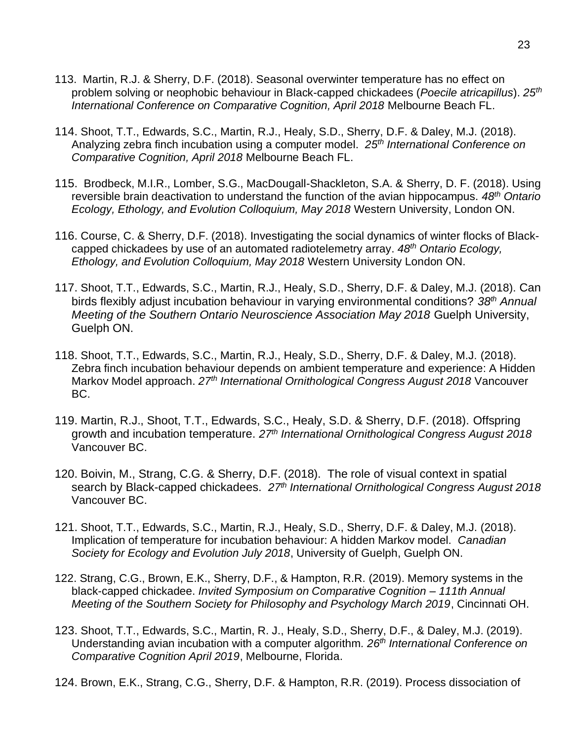- 113. Martin, R.J. & Sherry, D.F. (2018). Seasonal overwinter temperature has no effect on problem solving or neophobic behaviour in Black-capped chickadees (*Poecile atricapillus*). *25th International Conference on Comparative Cognition, April 2018* Melbourne Beach FL.
- 114. Shoot, T.T., Edwards, S.C., Martin, R.J., Healy, S.D., Sherry, D.F. & Daley, M.J. (2018). Analyzing zebra finch incubation using a computer model. *25th International Conference on Comparative Cognition, April 2018* Melbourne Beach FL.
- 115. Brodbeck, M.I.R., Lomber, S.G., MacDougall-Shackleton, S.A. & Sherry, D. F. (2018). Using reversible brain deactivation to understand the function of the avian hippocampus. *48th Ontario Ecology, Ethology, and Evolution Colloquium, May 2018* Western University, London ON.
- 116. Course, C. & Sherry, D.F. (2018). Investigating the social dynamics of winter flocks of Blackcapped chickadees by use of an automated radiotelemetry array. *48th Ontario Ecology, Ethology, and Evolution Colloquium, May 2018* Western University London ON.
- 117. Shoot, T.T., Edwards, S.C., Martin, R.J., Healy, S.D., Sherry, D.F. & Daley, M.J. (2018). Can birds flexibly adjust incubation behaviour in varying environmental conditions? *38th Annual Meeting of the Southern Ontario Neuroscience Association May 2018* Guelph University, Guelph ON.
- 118. Shoot, T.T., Edwards, S.C., Martin, R.J., Healy, S.D., Sherry, D.F. & Daley, M.J. (2018). Zebra finch incubation behaviour depends on ambient temperature and experience: A Hidden Markov Model approach. *27th International Ornithological Congress August 2018* Vancouver BC.
- 119. Martin, R.J., Shoot, T.T., Edwards, S.C., Healy, S.D. & Sherry, D.F. (2018). Offspring growth and incubation temperature. *27th International Ornithological Congress August 2018* Vancouver BC.
- 120. Boivin, M., Strang, C.G. & Sherry, D.F. (2018). The role of visual context in spatial search by Black-capped chickadees. *27th International Ornithological Congress August 2018* Vancouver BC.
- 121. Shoot, T.T., Edwards, S.C., Martin, R.J., Healy, S.D., Sherry, D.F. & Daley, M.J. (2018). Implication of temperature for incubation behaviour: A hidden Markov model. *Canadian Society for Ecology and Evolution July 2018*, University of Guelph, Guelph ON.
- 122. Strang, C.G., Brown, E.K., Sherry, D.F., & Hampton, R.R. (2019). Memory systems in the black-capped chickadee. *Invited Symposium on Comparative Cognition* – *111th Annual Meeting of the Southern Society for Philosophy and Psychology March 2019*, Cincinnati OH.
- 123. Shoot, T.T., Edwards, S.C., Martin, R. J., Healy, S.D., Sherry, D.F., & Daley, M.J. (2019). Understanding avian incubation with a computer algorithm*. 26th International Conference on Comparative Cognition April 2019*, Melbourne, Florida.
- 124. Brown, E.K., Strang, C.G., Sherry, D.F. & Hampton, R.R. (2019). Process dissociation of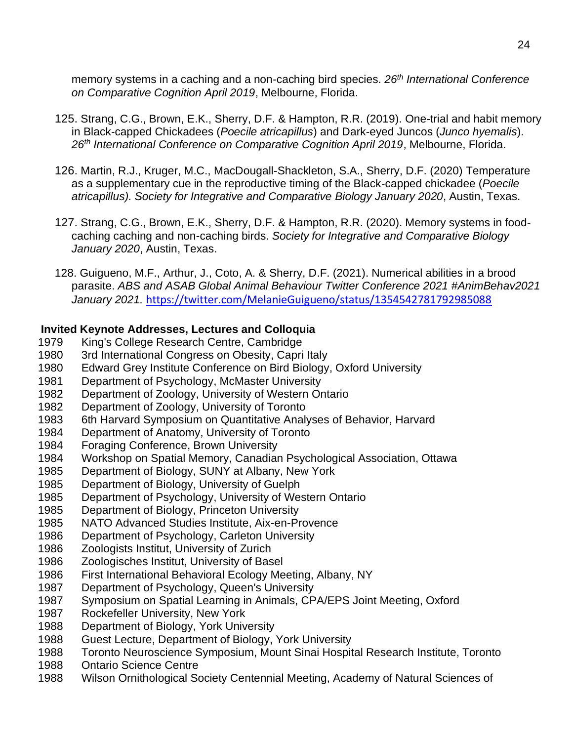memory systems in a caching and a non-caching bird species. *26th International Conference on Comparative Cognition April 2019*, Melbourne, Florida.

- 125. Strang, C.G., Brown, E.K., Sherry, D.F. & Hampton, R.R. (2019). One-trial and habit memory in Black-capped Chickadees (*Poecile atricapillus*) and Dark-eyed Juncos (*Junco hyemalis*). *26th International Conference on Comparative Cognition April 2019*, Melbourne, Florida.
- 126. Martin, R.J., Kruger, M.C., MacDougall-Shackleton, S.A., Sherry, D.F. (2020) Temperature as a supplementary cue in the reproductive timing of the Black-capped chickadee (*Poecile atricapillus). Society for Integrative and Comparative Biology January 2020*, Austin, Texas.
- 127. Strang, C.G., Brown, E.K., Sherry, D.F. & Hampton, R.R. (2020). Memory systems in foodcaching caching and non-caching birds. *Society for Integrative and Comparative Biology January 2020*, Austin, Texas.
- 128. Guigueno, M.F., Arthur, J., Coto, A. & Sherry, D.F. (2021). Numerical abilities in a brood parasite. *ABS and ASAB Global Animal Behaviour Twitter Conference 2021 #AnimBehav2021 January 2021.* <https://twitter.com/MelanieGuigueno/status/1354542781792985088>

## **Invited Keynote Addresses, Lectures and Colloquia**

- 1979 King's College Research Centre, Cambridge
- 1980 3rd International Congress on Obesity, Capri Italy
- 1980 Edward Grey Institute Conference on Bird Biology, Oxford University
- 1981 Department of Psychology, McMaster University
- 1982 Department of Zoology, University of Western Ontario
- 1982 Department of Zoology, University of Toronto
- 1983 6th Harvard Symposium on Quantitative Analyses of Behavior, Harvard
- 1984 Department of Anatomy, University of Toronto
- 1984 Foraging Conference, Brown University
- 1984 Workshop on Spatial Memory, Canadian Psychological Association, Ottawa
- 1985 Department of Biology, SUNY at Albany, New York
- 1985 Department of Biology, University of Guelph
- 1985 Department of Psychology, University of Western Ontario
- 1985 Department of Biology, Princeton University
- 1985 NATO Advanced Studies Institute, Aix-en-Provence
- 1986 Department of Psychology, Carleton University
- 1986 Zoologists Institut, University of Zurich
- 1986 Zoologisches Institut, University of Basel
- 1986 First International Behavioral Ecology Meeting, Albany, NY
- 1987 Department of Psychology, Queen's University
- 1987 Symposium on Spatial Learning in Animals, CPA/EPS Joint Meeting, Oxford
- 1987 Rockefeller University, New York
- 1988 Department of Biology, York University
- 1988 Guest Lecture, Department of Biology, York University
- 1988 Toronto Neuroscience Symposium, Mount Sinai Hospital Research Institute, Toronto
- 1988 Ontario Science Centre
- 1988 Wilson Ornithological Society Centennial Meeting, Academy of Natural Sciences of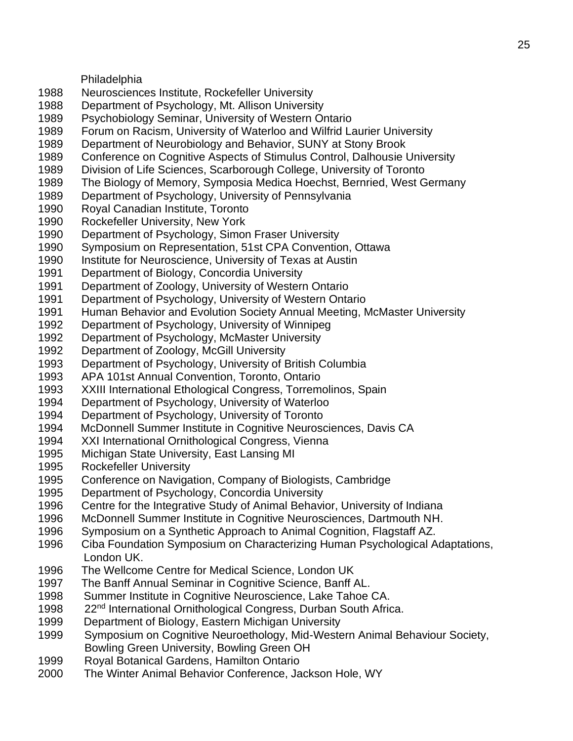Philadelphia

- 1988 Neurosciences Institute, Rockefeller University
- 1988 Department of Psychology, Mt. Allison University
- 1989 Psychobiology Seminar, University of Western Ontario
- 1989 Forum on Racism, University of Waterloo and Wilfrid Laurier University
- 1989 Department of Neurobiology and Behavior, SUNY at Stony Brook
- 1989 Conference on Cognitive Aspects of Stimulus Control, Dalhousie University
- 1989 Division of Life Sciences, Scarborough College, University of Toronto
- 1989 The Biology of Memory, Symposia Medica Hoechst, Bernried, West Germany
- 1989 Department of Psychology, University of Pennsylvania
- 1990 Royal Canadian Institute, Toronto
- 1990 Rockefeller University, New York
- 1990 Department of Psychology, Simon Fraser University
- 1990 Symposium on Representation, 51st CPA Convention, Ottawa
- 1990 Institute for Neuroscience, University of Texas at Austin
- 1991 Department of Biology, Concordia University
- 1991 Department of Zoology, University of Western Ontario
- 1991 Department of Psychology, University of Western Ontario
- 1991 Human Behavior and Evolution Society Annual Meeting, McMaster University
- 1992 Department of Psychology, University of Winnipeg
- 1992 Department of Psychology, McMaster University
- 1992 Department of Zoology, McGill University
- 1993 Department of Psychology, University of British Columbia
- 1993 APA 101st Annual Convention, Toronto, Ontario
- 1993 XXIII International Ethological Congress, Torremolinos, Spain
- 1994 Department of Psychology, University of Waterloo
- 1994 Department of Psychology, University of Toronto
- 1994 McDonnell Summer Institute in Cognitive Neurosciences, Davis CA
- 1994 XXI International Ornithological Congress, Vienna
- 1995 Michigan State University, East Lansing MI
- 1995 Rockefeller University
- 1995 Conference on Navigation, Company of Biologists, Cambridge
- 1995 Department of Psychology, Concordia University
- 1996 Centre for the Integrative Study of Animal Behavior, University of Indiana
- 1996 McDonnell Summer Institute in Cognitive Neurosciences, Dartmouth NH.
- 1996 Symposium on a Synthetic Approach to Animal Cognition, Flagstaff AZ.
- 1996 Ciba Foundation Symposium on Characterizing Human Psychological Adaptations, London UK.
- 1996 The Wellcome Centre for Medical Science, London UK
- 1997 The Banff Annual Seminar in Cognitive Science, Banff AL.
- 1998 Summer Institute in Cognitive Neuroscience, Lake Tahoe CA.
- 1998 22<sup>nd</sup> International Ornithological Congress, Durban South Africa.
- 1999 Department of Biology, Eastern Michigan University
- 1999 Symposium on Cognitive Neuroethology, Mid-Western Animal Behaviour Society, Bowling Green University, Bowling Green OH
- 1999 Royal Botanical Gardens, Hamilton Ontario
- 2000 The Winter Animal Behavior Conference, Jackson Hole, WY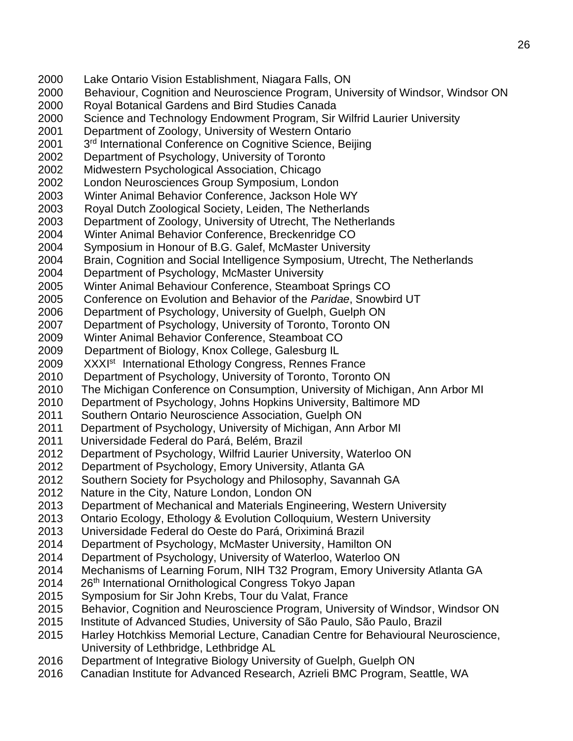- 2000 Lake Ontario Vision Establishment, Niagara Falls, ON
- 2000 Behaviour, Cognition and Neuroscience Program, University of Windsor, Windsor ON
- 2000 Royal Botanical Gardens and Bird Studies Canada
- 2000 Science and Technology Endowment Program, Sir Wilfrid Laurier University
- 2001 Department of Zoology, University of Western Ontario
- 2001 3<sup>rd</sup> International Conference on Cognitive Science, Beijing
- 2002 Department of Psychology, University of Toronto
- 2002 Midwestern Psychological Association, Chicago
- 2002 London Neurosciences Group Symposium, London
- 2003 Winter Animal Behavior Conference, Jackson Hole WY
- 2003 Royal Dutch Zoological Society, Leiden, The Netherlands
- 2003 Department of Zoology, University of Utrecht, The Netherlands
- 2004 Winter Animal Behavior Conference, Breckenridge CO
- 2004 Symposium in Honour of B.G. Galef, McMaster University
- 2004 Brain, Cognition and Social Intelligence Symposium, Utrecht, The Netherlands
- 2004 Department of Psychology, McMaster University
- 2005 Winter Animal Behaviour Conference, Steamboat Springs CO
- 2005 Conference on Evolution and Behavior of the *Paridae*, Snowbird UT
- 2006 Department of Psychology, University of Guelph, Guelph ON
- 2007 Department of Psychology, University of Toronto, Toronto ON
- 2009 Winter Animal Behavior Conference, Steamboat CO
- 2009 Department of Biology, Knox College, Galesburg IL
- 2009 XXXI<sup>st</sup> International Ethology Congress, Rennes France
- 2010 Department of Psychology, University of Toronto, Toronto ON
- 2010 The Michigan Conference on Consumption, University of Michigan, Ann Arbor MI
- 2010 Department of Psychology, Johns Hopkins University, Baltimore MD
- 2011 Southern Ontario Neuroscience Association, Guelph ON
- 2011 Department of Psychology, University of Michigan, Ann Arbor MI
- 2011 Universidade Federal do Pará, Belém, Brazil
- 2012 Department of Psychology, Wilfrid Laurier University, Waterloo ON
- 2012 Department of Psychology, Emory University, Atlanta GA
- 2012 Southern Society for Psychology and Philosophy, Savannah GA
- 2012 Nature in the City, Nature London, London ON
- 2013 Department of Mechanical and Materials Engineering, Western University
- 2013 Ontario Ecology, Ethology & Evolution Colloquium, Western University
- 2013 Universidade Federal do Oeste do Pará, Oriximiná Brazil
- 2014 Department of Psychology, McMaster University, Hamilton ON
- 2014 Department of Psychology, University of Waterloo, Waterloo ON
- 2014 Mechanisms of Learning Forum, NIH T32 Program, Emory University Atlanta GA
- 2014 26<sup>th</sup> International Ornithological Congress Tokyo Japan
- 2015 Symposium for Sir John Krebs, Tour du Valat, France
- 2015 Behavior, Cognition and Neuroscience Program, University of Windsor, Windsor ON
- 2015 Institute of Advanced Studies, University of São Paulo, São Paulo, Brazil
- 2015 Harley Hotchkiss Memorial Lecture, Canadian Centre for Behavioural Neuroscience, University of Lethbridge, Lethbridge AL
- 2016 Department of Integrative Biology University of Guelph, Guelph ON
- 2016 Canadian Institute for Advanced Research, Azrieli BMC Program, Seattle, WA